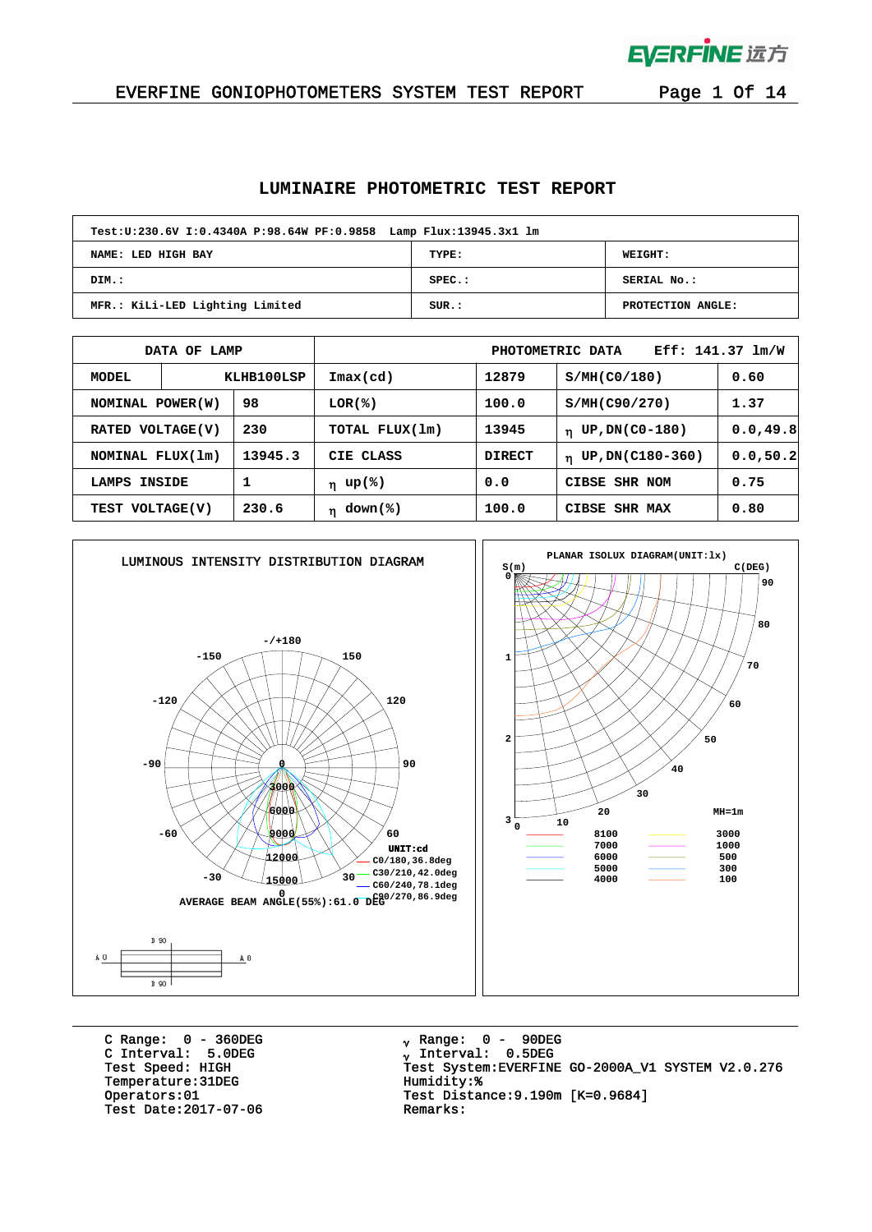

 $\bar{1}$ 

### EVERFINE GONIOPHOTOMETERS SYSTEM TEST REPORT Page 1 Of 14

### **LUMINAIRE PHOTOMETRIC TEST REPORT**

| Test: U: 230.6V I: 0.4340A P: 98.64W PF: 0.9858 Lamp Flux: 13945.3x1 lm |           |                   |  |  |  |  |  |  |
|-------------------------------------------------------------------------|-----------|-------------------|--|--|--|--|--|--|
| TYPE:<br>NAME: LED HIGH BAY<br>WEIGHT:                                  |           |                   |  |  |  |  |  |  |
| DIM.:                                                                   | $SPEC.$ : | SERIAL No.:       |  |  |  |  |  |  |
| MFR.: KiLi-LED Lighting Limited                                         | SUB.:     | PROTECTION ANGLE: |  |  |  |  |  |  |

|                     | DATA OF LAMP |                              | Eff: $141.37$ $lm/W$<br>PHOTOMETRIC DATA |               |                                 |           |  |  |  |
|---------------------|--------------|------------------------------|------------------------------------------|---------------|---------------------------------|-----------|--|--|--|
| KLHB100LSP<br>MODEL |              | $\mathtt{Imax}(\mathtt{cd})$ | 12879                                    | S/MH(C0/180)  | 0.60                            |           |  |  |  |
| NOMINAL POWER (W)   |              | 98                           | $LOR(\mathcal{E})$                       | 100.0         | S/MH(C90/270)                   | 1.37      |  |  |  |
| RATED VOLTAGE(V)    |              | 230                          | TOTAL FLUX(1m)                           | 13945         | UP, DN(C0-180)<br>$\mathbf n$   | 0.0, 49.8 |  |  |  |
| NOMINAL FLUX(1m)    |              | 13945.3                      | CIE CLASS                                | <b>DIRECT</b> | UP, DN(C180-360)<br>$\mathbf n$ | 0.0, 50.2 |  |  |  |
| LAMPS               | INSIDE       |                              | η up(%)                                  | 0.0           | CIBSE<br>SHR NOM                | 0.75      |  |  |  |
| TEST VOLTAGE(V)     |              | 230.6                        | $down$ (%)<br>'n                         | 100.0         | <b>CIBSE</b><br><b>SHR MAX</b>  | 0.80      |  |  |  |



C Range: 0 - 360DEG C Interval: 5.0DEG Temperature: 31DEG<br>Operators: 01 Test Date: 2017-07-06

<sub>v</sub> Range: 0 – 90DEG <sub>γ</sub> Range: 0 – 90DE<br><sub>γ</sub> Interval: 0.5DEG Test Speed: HIGH Test System:EVERFINE GO-2000A\_V1 SYSTEM V2.0.276<br>Temperature:31DEG Temperature:31DEG Test Distance:9.190m [K=0.9684]<br>Remarks: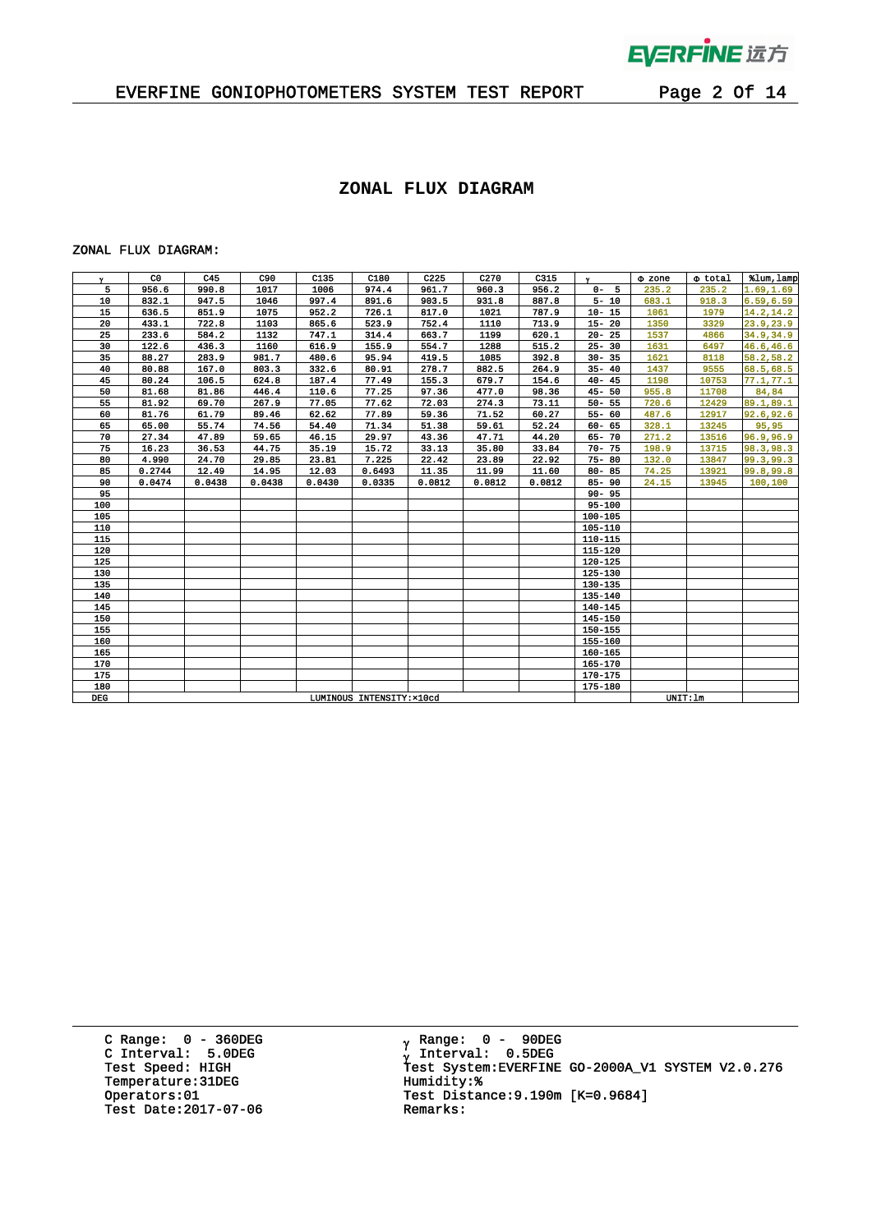

# EVERFINE GONIOPHOTOMETERS SYSTEM TEST REPORT Page 2 Of 14

### **ZONAL FLUX DIAGRAM**

#### ZONAL FLUX DIAGRAM:

| Y.    | C <sub>0</sub>            | C45    | C90    | C135   | C180   | C <sub>225</sub> | C <sub>270</sub> | C315   | $\mathbf{v}$ | $\Phi$ zone | o total | %lum, lamp |
|-------|---------------------------|--------|--------|--------|--------|------------------|------------------|--------|--------------|-------------|---------|------------|
| 5     | 956.6                     | 990.8  | 1017   | 1006   | 974.4  | 961.7            | 960.3            | 956.2  | $0 - 5$      | 235.2       | 235.2   | 1.69, 1.69 |
| 10    | 832.1                     | 947.5  | 1046   | 997.4  | 891.6  | 903.5            | 931.8            | 887.8  | $5 - 10$     | 683.1       | 918.3   | 6.59,6.59  |
| 15    | 636.5                     | 851.9  | 1075   | 952.2  | 726.1  | 817.0            | 1021             | 787.9  | $10 - 15$    | 1061        | 1979    | 14.2, 14.2 |
| 20    | 433.1                     | 722.8  | 1103   | 865.6  | 523.9  | 752.4            | 1110             | 713.9  | $15 - 20$    | 1350        | 3329    | 23.9, 23.9 |
| 25    | 233.6                     | 584.2  | 1132   | 747.1  | 314.4  | 663.7            | 1199             | 620.1  | $20 - 25$    | 1537        | 4866    | 34.9,34.9  |
| 30    | 122.6                     | 436.3  | 1160   | 616.9  | 155.9  | 554.7            | 1288             | 515.2  | $25 - 30$    | 1631        | 6497    | 46.6,46.6  |
| 35    | 88.27                     | 283.9  | 981.7  | 480.6  | 95.94  | 419.5            | 1085             | 392.8  | $30 - 35$    | 1621        | 8118    | 58.2,58.2  |
| 40    | 80.88                     | 167.0  | 803.3  | 332.6  | 80.91  | 278.7            | 882.5            | 264.9  | $35 - 40$    | 1437        | 9555    | 68.5,68.5  |
| 45    | 80.24                     | 106.5  | 624.8  | 187.4  | 77.49  | 155.3            | 679.7            | 154.6  | $40 - 45$    | 1198        | 10753   | 77.1, 77.1 |
| 50    | 81.68                     | 81.86  | 446.4  | 110.6  | 77.25  | 97.36            | 477.0            | 98.36  | $45 - 50$    | 955.8       | 11708   | 84,84      |
| 55    | 81.92                     | 69.70  | 267.9  | 77.05  | 77.62  | 72.03            | 274.3            | 73.11  | $50 - 55$    | 720.6       | 12429   | 89.1,89.1  |
| 60    | 81.76                     | 61.79  | 89.46  | 62.62  | 77.89  | 59.36            | 71.52            | 60.27  | $55 - 60$    | 487.6       | 12917   | 92.6,92.6  |
| 65    | 65.00                     | 55.74  | 74.56  | 54.40  | 71.34  | 51.38            | 59.61            | 52.24  | $60 - 65$    | 328.1       | 13245   | 95,95      |
| 70    | 27.34                     | 47.89  | 59.65  | 46.15  | 29.97  | 43.36            | 47.71            | 44.20  | 65-70        | 271.2       | 13516   | 96.9,96.9  |
| 75    | 16.23                     | 36.53  | 44.75  | 35.19  | 15.72  | 33.13            | 35.80            | 33.84  | $70 - 75$    | 198.9       | 13715   | 98.3,98.3  |
| 80    | 4.990                     | 24.70  | 29.85  | 23.81  | 7.225  | 22.42            | 23.89            | 22.92  | $75 - 80$    | 132.0       | 13847   | 99.3.99.3  |
| 85    | 0.2744                    | 12.49  | 14.95  | 12.03  | 0.6493 | 11.35            | 11.99            | 11.60  | $80 - 85$    | 74.25       | 13921   | 99.8,99.8  |
| 90    | 0.0474                    | 0.0438 | 0.0438 | 0.0430 | 0.0335 | 0.0812           | 0.0812           | 0.0812 | $85 - 90$    | 24.15       | 13945   | 100,100    |
| 95    |                           |        |        |        |        |                  |                  |        | $90 - 95$    |             |         |            |
| 100   |                           |        |        |        |        |                  |                  |        | 95-100       |             |         |            |
| 105   |                           |        |        |        |        |                  |                  |        | 100-105      |             |         |            |
| 110   |                           |        |        |        |        |                  |                  |        | 105-110      |             |         |            |
| 115   |                           |        |        |        |        |                  |                  |        | 110-115      |             |         |            |
| 120   |                           |        |        |        |        |                  |                  |        | 115-120      |             |         |            |
| 125   |                           |        |        |        |        |                  |                  |        | 120-125      |             |         |            |
| 130   |                           |        |        |        |        |                  |                  |        | 125-130      |             |         |            |
| 135   |                           |        |        |        |        |                  |                  |        | 130-135      |             |         |            |
| 140   |                           |        |        |        |        |                  |                  |        | 135-140      |             |         |            |
| 145   |                           |        |        |        |        |                  |                  |        | 140-145      |             |         |            |
| 150   |                           |        |        |        |        |                  |                  |        | 145-150      |             |         |            |
| 155   |                           |        |        |        |        |                  |                  |        | 150-155      |             |         |            |
| 160   |                           |        |        |        |        |                  |                  |        | 155-160      |             |         |            |
| 165   |                           |        |        |        |        |                  |                  |        | $160 - 165$  |             |         |            |
| 170   |                           |        |        |        |        |                  |                  |        | 165-170      |             |         |            |
| 175   |                           |        |        |        |        |                  |                  |        | 170-175      |             |         |            |
| 180   |                           |        |        |        |        |                  |                  |        | 175-180      |             |         |            |
| $DEG$ | LUMINOUS INTENSITY: x10cd |        |        |        |        |                  |                  |        |              | UNIT: 1m    |         |            |

C Range: 0 - 360DEG C Interval: 5.0DEG Temperature:31DEG Humidity:\*<br>Operators:01 Test Distant Test Date: 2017-07-06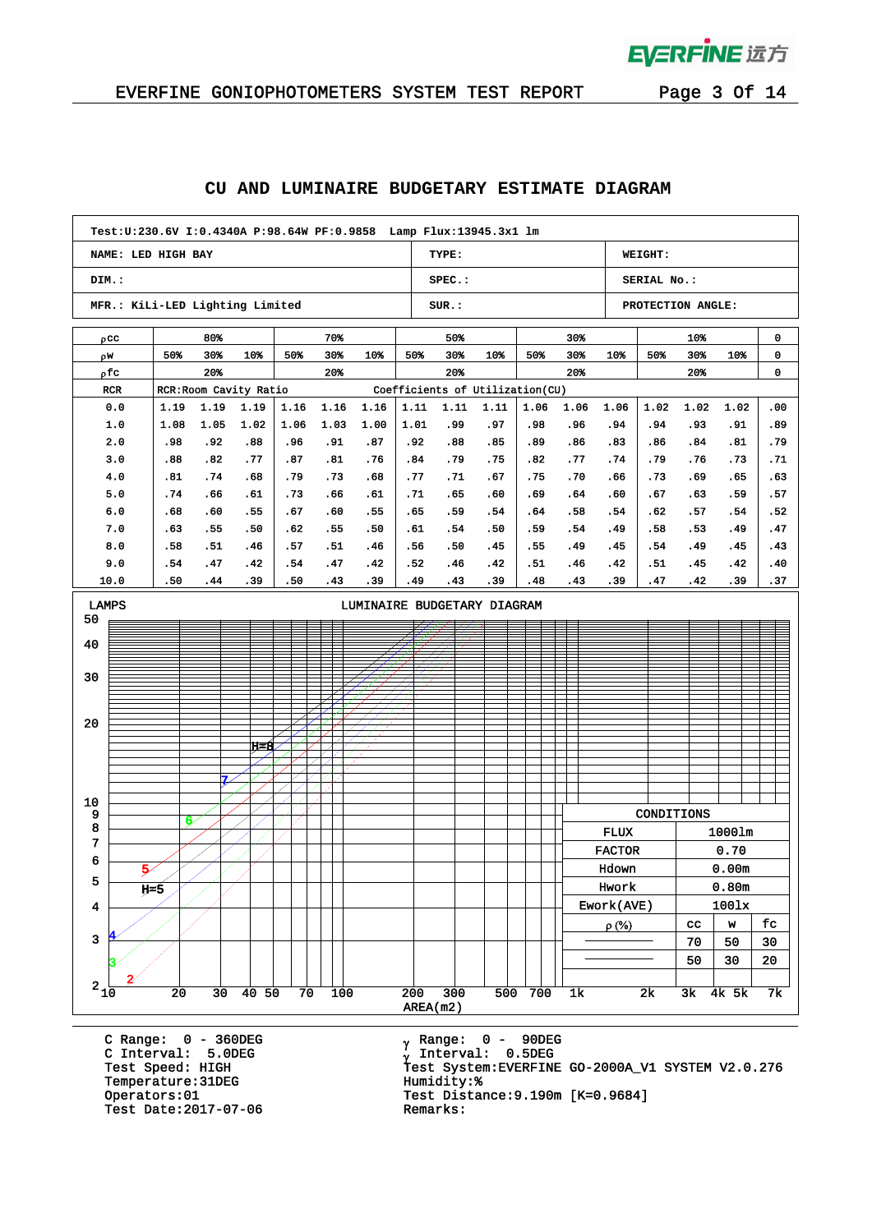

# EVERFINE GONIOPHOTOMETERS SYSTEM TEST REPORT Page 3 Of 14

## **CU AND LUMINAIRE BUDGETARY ESTIMATE DIAGRAM**

| Test: U: 230.6V I: 0.4340A P: 98.64W PF: 0.9858 Lamp Flux: 13945.3x1 lm |            |            |                        |            |            |            |            |            |                                 |            |                |               |                   |            |              |            |
|-------------------------------------------------------------------------|------------|------------|------------------------|------------|------------|------------|------------|------------|---------------------------------|------------|----------------|---------------|-------------------|------------|--------------|------------|
| NAME: LED HIGH BAY                                                      |            |            |                        |            |            |            |            | TYPE:      |                                 |            |                |               | WEIGHT:           |            |              |            |
| DIM.:                                                                   |            |            |                        |            |            |            |            | SPEC.:     |                                 |            |                |               | SERIAL No.:       |            |              |            |
| MFR.: KiLi-LED Lighting Limited                                         |            |            |                        |            |            |            |            | SUR.:      |                                 |            |                |               | PROTECTION ANGLE: |            |              |            |
| $\rho$ cc                                                               |            | 80%        |                        |            | 70%        |            |            | 50%<br>30% |                                 |            |                |               | 10%               |            | 0            |            |
| ρW                                                                      | 50%        | 30%        | 10%                    | 50%        | 30%        | 10%        | 50%        | 30%        | 10%                             | 50%        | 30%            | 10%           | 50%               | 30%        | 10%          | 0          |
| ρfc                                                                     |            | 20%<br>20% |                        |            |            |            | 20%        |            |                                 | 20%        |                |               | 20%               |            | 0            |            |
| RCR                                                                     |            |            | RCR: Room Cavity Ratio |            |            |            |            |            | Coefficients of Utilization(CU) |            |                |               |                   |            |              |            |
| 0.0                                                                     | 1.19       | 1.19       | 1.19                   | 1.16       | 1.16       | 1.16       | 1.11       | 1.11       | 1.11                            | 1.06       | 1.06           | 1.06          | 1.02              | 1.02       | 1.02         | .00        |
| 1.0                                                                     | 1.08       | 1.05       | 1.02                   | 1.06       | 1.03       | 1.00       | 1.01       | . 99       | .97                             | .98        | .96            | .94           | .94               | .93        | .91          | .89        |
| 2.0                                                                     | .98        | .92        | .88                    | .96        | .91        | .87        | .92        | .88        | .85                             | .89        | .86            | .83           | .86               | .84        | .81          | . 79       |
| 3.0                                                                     | .88        | .82        | .77                    | .87        | .81        | .76        | .84        | .79        | .75                             | .82        | .77            | .74           | .79               | .76        | .73          | .71        |
| 4.0                                                                     | .81        | .74        | .68                    | . 79       | .73        | .68        | .77        | .71        | .67                             | .75        | .70            | .66           | .73               | . 69       | . 65         | . 63       |
| 5.0                                                                     | .74<br>.68 | . 66       | . 61                   | .73        | .66        | .61        | .71        | .65<br>.59 | .60                             | .69        | .64            | .60           | .67               | . 63       | .59          | .57        |
| 6.0<br>7.0                                                              | .63        | .60<br>.55 | .55                    | .67<br>.62 | .60<br>.55 | .55<br>.50 | .65<br>.61 | .54        | .54<br>.50                      | .64<br>.59 | .58<br>.54     | .54<br>.49    | .62<br>.58        | .57<br>.53 | .54          | .52<br>.47 |
| 8.0                                                                     | .58        | .51        | .50<br>. 46            | .57        | .51        | .46        | .56        | .50        | .45                             | .55        | . 49           | .45           | .54               | . 49       | . 49<br>. 45 | .43        |
| 9.0                                                                     | .54        | .47        | .42                    | .54        | .47        | .42        | .52        | .46        | .42                             | .51        | . 46           | .42           | . 51              | .45        | .42          | .40        |
| 10.0                                                                    | .50        | . 44       | .39                    | .50        | .43        | . 39       | . 49       | .43        | .39                             | .48        | .43            | .39           | .47               | .42        | .39          | .37        |
| LAMPS<br>LUMINAIRE BUDGETARY DIAGRAM                                    |            |            |                        |            |            |            |            |            |                                 |            |                |               |                   |            |              |            |
| 50                                                                      |            |            |                        |            |            |            |            |            |                                 |            |                |               |                   |            |              |            |
| 40                                                                      |            |            |                        |            |            |            |            |            |                                 |            |                |               |                   |            |              |            |
|                                                                         |            |            |                        |            |            |            |            |            |                                 |            |                |               |                   |            |              |            |
| 30                                                                      |            |            |                        |            |            |            |            |            |                                 |            |                |               |                   |            |              |            |
|                                                                         |            |            |                        |            |            |            |            |            |                                 |            |                |               |                   |            |              |            |
|                                                                         |            |            |                        |            |            |            |            |            |                                 |            |                |               |                   |            |              |            |
| 20                                                                      |            |            |                        |            |            |            |            |            |                                 |            |                |               |                   |            |              |            |
|                                                                         |            |            | ਸ਼ਵਸ਼                  |            |            |            |            |            |                                 |            |                |               |                   |            |              |            |
|                                                                         |            |            |                        |            |            |            |            |            |                                 |            |                |               |                   |            |              |            |
|                                                                         |            | 7.         |                        |            |            |            |            |            |                                 |            |                |               |                   |            |              |            |
| 10                                                                      |            |            |                        |            |            |            |            |            |                                 |            |                |               |                   |            |              |            |
| 9                                                                       | 6          |            |                        |            |            |            |            |            |                                 |            |                |               | CONDITIONS        |            |              |            |
| 8<br>7                                                                  |            |            |                        |            |            |            |            |            |                                 |            |                | <b>FLUX</b>   |                   |            | 1000lm       |            |
| 6                                                                       |            |            |                        |            |            |            |            |            |                                 |            |                | <b>FACTOR</b> |                   |            | 0.70         |            |
| Ŕ.                                                                      |            |            |                        |            |            |            |            |            |                                 |            |                | Hdown         |                   |            | 0.00m        |            |
| 5                                                                       | ц≤5        |            |                        |            |            |            |            |            |                                 |            |                | Hwork         |                   |            | 0.80m        |            |
| 4                                                                       |            |            |                        |            |            |            |            |            |                                 |            |                | Ework(AVE)    |                   |            | 1001x        |            |
|                                                                         |            |            |                        |            |            |            |            |            |                                 |            |                | $\rho$ (%)    |                   | cc         | W            | fc         |
| $\overline{\mathbf{3}}$                                                 |            |            |                        |            |            |            |            |            |                                 |            |                |               |                   | 70         | 50           | 30         |
|                                                                         |            |            |                        |            |            |            |            |            |                                 |            |                |               |                   | 50         | 30           | ${\bf 20}$ |
| $^2$ 1 $\!\overline{0}$                                                 | 20         | 30         | 40 <sub>50</sub>       | 70         | 100        |            | 200        | 300        |                                 | 500 700    | 1 <sub>k</sub> |               | 2k                |            | 3k 4k 5k     | 7k         |
|                                                                         |            |            |                        |            |            |            |            |            |                                 |            |                |               |                   |            |              |            |
|                                                                         | AREA(m2)   |            |                        |            |            |            |            |            |                                 |            |                |               |                   |            |              |            |

C Range: 0 - 360DEG C Interval: 5.0DEG Temperature:31DEG Humidity:\*<br>Operators:01 Test Distant Test Date: 2017-07-06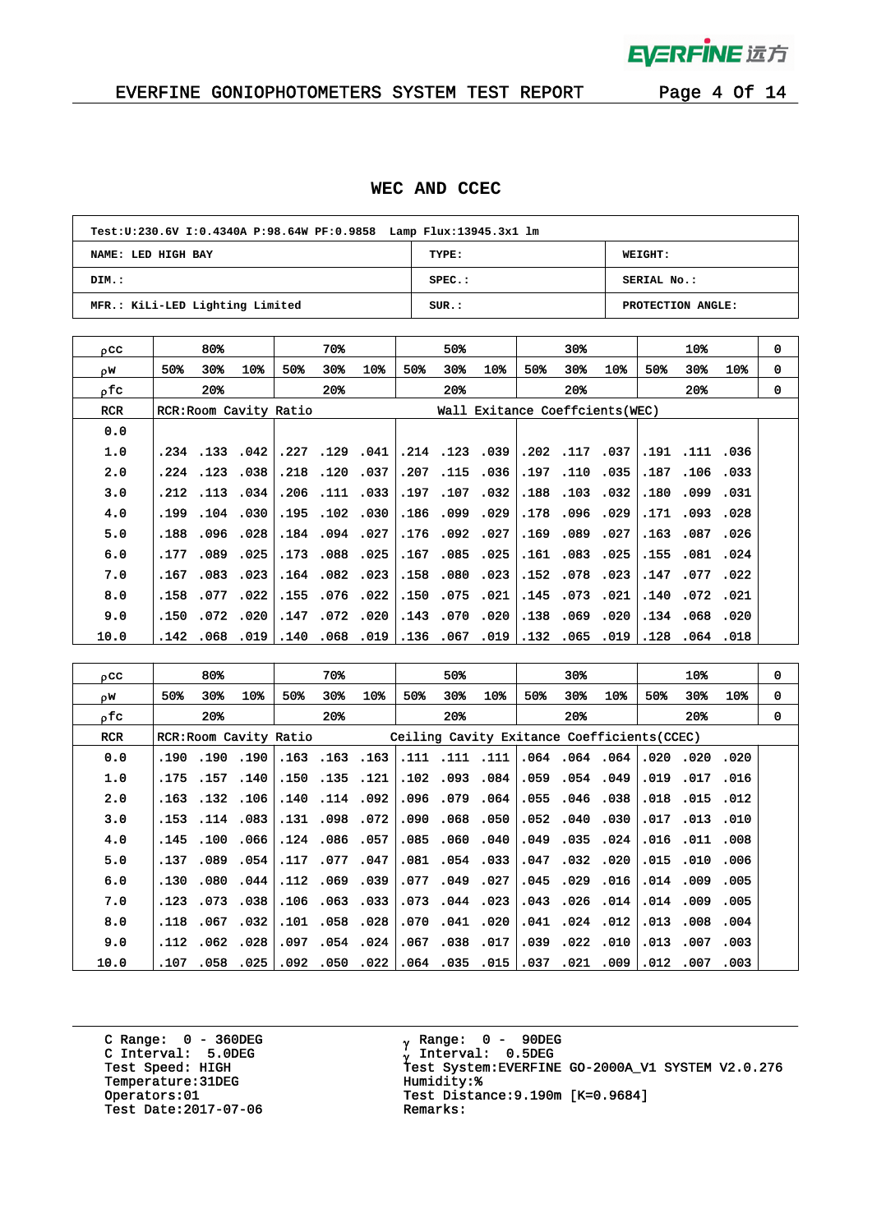

 $\bar{z}$ 

# EVERFINE GONIOPHOTOMETERS SYSTEM TEST REPORT Page 4 Of 14

### **WEC AND CCEC**

| Test: U: 230.6V I: 0.4340A P: 98.64W PF: 0.9858 Lamp Flux: 13945.3x1 lm |           |                   |  |  |  |  |  |  |  |
|-------------------------------------------------------------------------|-----------|-------------------|--|--|--|--|--|--|--|
| NAME: LED HIGH BAY                                                      | TYPE:     | WEIGHT:           |  |  |  |  |  |  |  |
| DIM.:                                                                   | $SPEC.$ : | SERIAL No.:       |  |  |  |  |  |  |  |
| MFR.: KiLi-LED Lighting Limited                                         | SUB.:     | PROTECTION ANGLE: |  |  |  |  |  |  |  |

| oCC        |       | 80%      |                        |      | 70%            |                |      | 50%          |                                 |              | $30*$          |                |      | 10%            |                 | 0 |
|------------|-------|----------|------------------------|------|----------------|----------------|------|--------------|---------------------------------|--------------|----------------|----------------|------|----------------|-----------------|---|
| οW.        | 50%   | 30%      | 10%                    | 50%  | 30%            | 10%            | 50%  | $30*$        | 10%                             | 50%          | 30%            | 10%            | 50%  | 30%            | 10 <sub>3</sub> | 0 |
| ofc.       |       | 20%      |                        |      | $20*$          |                |      | $20*$        |                                 |              | $20*$          |                |      | $20*$          |                 | 0 |
| <b>RCR</b> |       |          | RCR: Room Cavity Ratio |      |                |                |      |              | Wall Exitance Coeffcients (WEC) |              |                |                |      |                |                 |   |
| 0.0        |       |          |                        |      |                |                |      |              |                                 |              |                |                |      |                |                 |   |
| 1.0        |       |          | $.234$ $.133$ $.042$   |      |                | .227 .129 .041 |      |              | .214 .123 .039                  | .202.117.037 |                |                |      | .191 .111 .036 |                 |   |
| 2.0        |       | .224.123 | .038                   |      | .218 .120 .037 |                | .207 |              | .115.036                        |              | .197 .110      | 0.035          |      | .187.106.033   |                 |   |
| 3.0        |       |          | .212.113.034           |      | .206 .111 .033 |                |      |              | .197.107.032                    |              | .188.103.032   |                |      | .180.099.031   |                 |   |
| 4.0        | . 199 |          | .104.030               |      |                | .195.102.030   | .186 | .099         | .029                            |              | .178.096.029   |                | .171 | .093           | .028            |   |
| 5.0        | .188  |          | .096.028               |      |                | .184 .094 .027 |      | .176.092.027 |                                 |              | .169.089.027   |                |      | .163.087.026   |                 |   |
| 6.0        | .177  | .089.    | .025                   |      | .173 .088      | .025           | .167 |              | .085.025                        |              |                | .161 .083 .025 | .155 | .081           | .024            |   |
| 7.0        | .167  |          | $.083$ $.023$          |      |                | .164.082.023   | .158 |              | .080.023                        |              | .152.078.023   |                |      | .147.077.022   |                 |   |
| 8.0        | .158  | .077     | .022                   | .155 |                | .076 .022      | .150 | .075         | .021                            |              | .145 .073 .021 |                | .140 | .072 .021      |                 |   |
| 9.0        | .150  |          | .072.020               |      |                | .147 .072 .020 |      |              | .143 .070 .020                  |              | .138.069.020   |                |      | .134.068.020   |                 |   |
| 10.0       | .142  | .068     | .019                   |      |                | .140 .068 .019 | .136 | .067         | .019                            |              |                | 132 .065 .019. |      | .128 .064 .018 |                 |   |

| 0CC        |                       | 80%   |                |     | 70%                  |                |      | 50%                  |           |      | 30%            |                                            |      | 10%            |      | 0 |
|------------|-----------------------|-------|----------------|-----|----------------------|----------------|------|----------------------|-----------|------|----------------|--------------------------------------------|------|----------------|------|---|
| ρW         | 50%                   | 30%   | 10%            | 50% | 30%                  | 10%            | 50%  | 30%                  | 10%       | 50%  | 30%            | 10%                                        | 50%  | 30%            | 10%  | 0 |
| οfc        |                       | $20*$ |                |     | $20*$                |                |      | $20*$                |           |      | $20*$          |                                            |      | 20%            |      | 0 |
| <b>RCR</b> | RCR:Room Cavity Ratio |       |                |     |                      |                |      |                      |           |      |                | Ceiling Cavity Exitance Coefficients(CCEC) |      |                |      |   |
| 0.0        | .190                  |       | .190.190       |     |                      | .163 .163 .163 |      | .111 .111            | .111      |      |                | .064.064.064                               | .020 | .020.020       |      |   |
| 1.0        | .175                  |       | .157.140       |     | $.150$ $.135$ $.121$ |                |      | .102.093.084         |           |      | .059.054.049   |                                            |      | .019 .017 .016 |      |   |
| 2.0        | .163                  |       | .132.106       |     | .140.114.092         |                | .096 | .079.064             |           | .055 |                | .046.038                                   | .018 | .015           | .012 |   |
| 3.0        |                       |       | .153 .114 .083 |     | .131 .098 .072       |                | .090 | .068.050             |           |      | .052.040.030   |                                            |      | .017 .013 .010 |      |   |
| 4.0        | .145                  | .100  | ا 066.         |     | .124.086.057         |                | .085 |                      | .060.040  | .049 |                | .035.024                                   |      | .016 .011      | .008 |   |
| 5.0        | .137                  |       | ا 089. 089.    |     | .117.077.047         |                |      | $.081$ $.054$ $.033$ |           |      |                | .047 .032 .020                             |      | .015 .010 .006 |      |   |
| 6.0        | .130                  |       | .080.044       |     | .112.069.039         |                | .077 |                      | .049.027  | .045 | .029           | .016                                       |      | .014 .009      | .005 |   |
| 7.0        | .123                  |       | .073 .038      |     | .106 .063 .033       |                | .073 | .044.023             |           |      |                | .043 .026 .014                             |      | .014 .009 .005 |      |   |
| 8.0        | .118                  |       | .067.032       |     | .101 .058            | .028           | .070 |                      | .041 .020 |      | .041 .024 .012 |                                            |      | .013 .008      | .004 |   |
| 9.0        | .112                  |       | .062 .028 .    |     |                      | .097 .054 .024 | .067 | .038 .017            |           |      |                | .039 .022 .010                             |      | .013 .007 .003 |      |   |
| 10.0       | .107                  | .058  | .025           |     | .092 .050            | .022           | .064 | .035                 | .015      |      | .037 .021      | .009                                       |      | .012.007       | .003 |   |

C Range: 0 - 360DEG C Interval: 5.0DEG Temperature:31DEG Humidity:%<br>Operators:01 Test Distan Test Date: 2017-07-06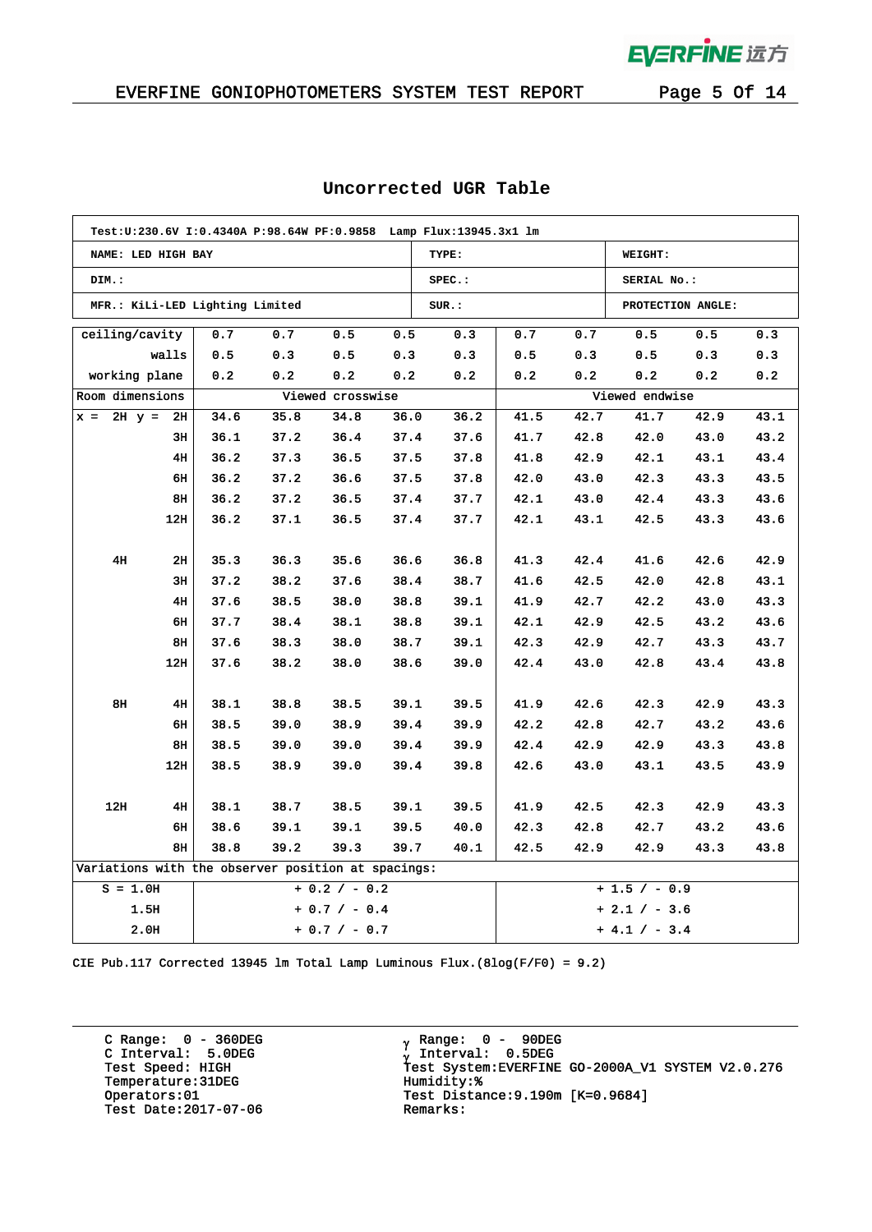**EVERFINE 远方** 

 $\mathcal{A}$ 

### EVERFINE GONIOPHOTOMETERS SYSTEM TEST REPORT Page 5 Of 14

| Test: U: 230.6V I: 0.4340A P: 98.64W PF: 0.9858 Lamp Flux: 13945.3x1 lm |      |      |                  |      |           |               |      |                |                   |      |
|-------------------------------------------------------------------------|------|------|------------------|------|-----------|---------------|------|----------------|-------------------|------|
| NAME: LED HIGH BAY                                                      |      |      |                  |      | TYPE:     |               |      | WEIGHT:        |                   |      |
| DIM.:                                                                   |      |      |                  |      | $SPEC.$ : |               |      | SERIAL No.:    |                   |      |
| MFR.: KiLi-LED Lighting Limited                                         |      |      |                  |      | SUR.:     |               |      |                | PROTECTION ANGLE: |      |
| ceiling/cavity                                                          | 0.7  | 0.7  | 0.5              | 0.5  | 0.3       | 0.7           | 0.7  | 0.5            | 0.5               | 0.3  |
| walls                                                                   | 0.5  | 0.3  | 0.5              | 0.3  | 0.3       | 0.5           | 0.3  | 0.5            | 0.3               | 0.3  |
| working plane                                                           | 0.2  | 0.2  | 0.2              | 0.2  | 0.2       | 0.2           | 0.2  | 0.2            | 0.2               | 0.2  |
| Room dimensions                                                         |      |      | Viewed crosswise |      |           |               |      | Viewed endwise |                   |      |
| $2H y =$<br>2H<br>$x =$                                                 | 34.6 | 35.8 | 34.8             | 36.0 | 36.2      | 41.5          | 42.7 | 41.7           | 42.9              | 43.1 |
| 3H                                                                      | 36.1 | 37.2 | 36.4             | 37.4 | 37.6      | 41.7          | 42.8 | 42.0           | 43.0              | 43.2 |
| 4H                                                                      | 36.2 | 37.3 | 36.5             | 37.5 | 37.8      | 41.8          | 42.9 | 42.1           | 43.1              | 43.4 |
| 6н                                                                      | 36.2 | 37.2 | 36.6             | 37.5 | 37.8      | 42.0          | 43.0 | 42.3           | 43.3              | 43.5 |
| 8н                                                                      | 36.2 | 37.2 | 36.5             | 37.4 | 37.7      | 42.1          | 43.0 | 42.4           | 43.3              | 43.6 |
| 12H                                                                     | 36.2 | 37.1 | 36.5             | 37.4 | 37.7      | 42.1          | 43.1 | 42.5           | 43.3              | 43.6 |
|                                                                         |      |      |                  |      |           |               |      |                |                   |      |
| 4H<br>2н                                                                | 35.3 | 36.3 | 35.6             | 36.6 | 36.8      | 41.3          | 42.4 | 41.6           | 42.6              | 42.9 |
| 3H                                                                      | 37.2 | 38.2 | 37.6             | 38.4 | 38.7      | 41.6          | 42.5 | 42.0           | 42.8              | 43.1 |
| 4H                                                                      | 37.6 | 38.5 | 38.0             | 38.8 | 39.1      | 41.9          | 42.7 | 42.2           | 43.0              | 43.3 |
| 6н                                                                      | 37.7 | 38.4 | 38.1             | 38.8 | 39.1      | 42.1          | 42.9 | 42.5           | 43.2              | 43.6 |
| 8H                                                                      | 37.6 | 38.3 | 38.0             | 38.7 | 39.1      | 42.3          | 42.9 | 42.7           | 43.3              | 43.7 |
| 12H                                                                     | 37.6 | 38.2 | 38.0             | 38.6 | 39.0      | 42.4          | 43.0 | 42.8           | 43.4              | 43.8 |
|                                                                         |      |      |                  |      |           |               |      |                |                   |      |
| 8H<br>4H                                                                | 38.1 | 38.8 | 38.5             | 39.1 | 39.5      | 41.9          | 42.6 | 42.3           | 42.9              | 43.3 |
| 6H                                                                      | 38.5 | 39.0 | 38.9             | 39.4 | 39.9      | 42.2          | 42.8 | 42.7           | 43.2              | 43.6 |
| 8H                                                                      | 38.5 | 39.0 | 39.0             | 39.4 | 39.9      | 42.4          | 42.9 | 42.9           | 43.3              | 43.8 |
| 12H                                                                     | 38.5 | 38.9 | 39.0             | 39.4 | 39.8      | 42.6          | 43.0 | 43.1           | 43.5              | 43.9 |
|                                                                         |      |      |                  |      |           |               |      |                |                   |      |
| 12H<br>4H                                                               | 38.1 | 38.7 | 38.5             | 39.1 | 39.5      | 41.9          | 42.5 | 42.3           | 42.9              | 43.3 |
| 6н                                                                      | 38.6 | 39.1 | 39.1             | 39.5 | 40.0      | 42.3          | 42.8 | 42.7           | 43.2              | 43.6 |
| 8H<br>38.8<br>39.2<br>39.3<br>39.7<br>40.1                              |      |      |                  |      |           | 42.5          | 42.9 | 42.9           | 43.3              | 43.8 |
| Variations with the observer position at spacings:                      |      |      |                  |      |           |               |      |                |                   |      |
| $S = 1.0H$<br>$+ 0.2 / - 0.2$                                           |      |      |                  |      |           | $+1.5 / -0.9$ |      |                |                   |      |
| 1.5H<br>$+ 0.7 / - 0.4$                                                 |      |      |                  |      |           | $+2.1 / -3.6$ |      |                |                   |      |
| 2.0H<br>$+ 0.7 / - 0.7$                                                 |      |      |                  |      |           | $+4.1 / -3.4$ |      |                |                   |      |

### **Uncorrected UGR Table**

CIE Pub.117 Corrected 13945 lm Total Lamp Luminous Flux.(8log(F/F0) = 9.2)

C Range: 0 - 360DEG C Interval: 5.0DEG Temperature:31DEG Humidity:%<br>Operators:01 Test Distan Test Date: 2017-07-06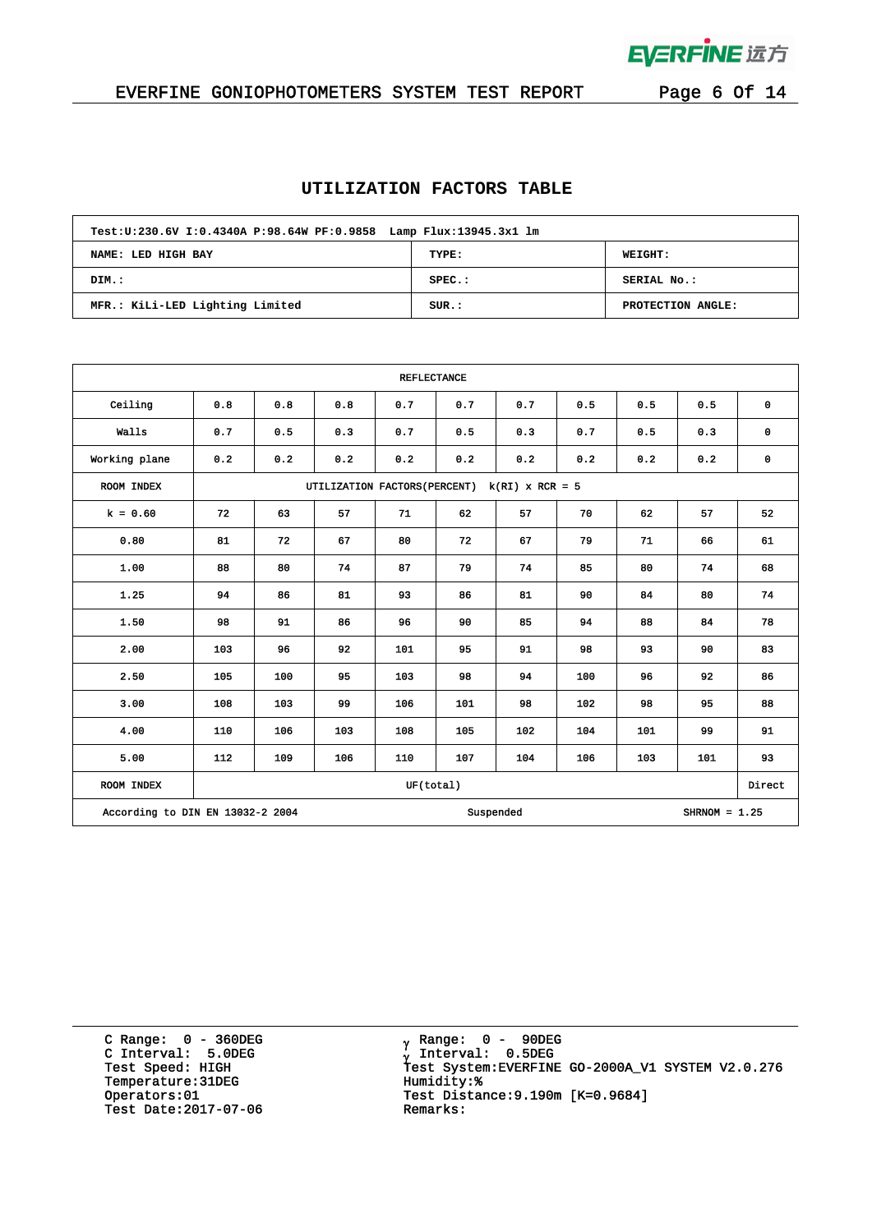

 $\bar{z}$ 

# EVERFINE GONIOPHOTOMETERS SYSTEM TEST REPORT Page 6 Of 14

### **UTILIZATION FACTORS TABLE**

| Test: U: 230.6V I: 0.4340A P: 98.64W PF: 0.9858 Lamp Flux: 13945.3x1 lm |           |                   |  |  |  |  |  |  |
|-------------------------------------------------------------------------|-----------|-------------------|--|--|--|--|--|--|
| TYPE:<br><b>WEIGHT:</b><br>NAME: LED HIGH BAY                           |           |                   |  |  |  |  |  |  |
| DIM.:                                                                   | $SPEC.$ : | SERIAL No.:       |  |  |  |  |  |  |
| MFR.: KiLi-LED Lighting Limited                                         | SUR.:     | PROTECTION ANGLE: |  |  |  |  |  |  |

| <b>REFLECTANCE</b>               |                                                             |                                                    |     |           |     |           |     |     |                 |             |  |  |
|----------------------------------|-------------------------------------------------------------|----------------------------------------------------|-----|-----------|-----|-----------|-----|-----|-----------------|-------------|--|--|
| Ceiling                          | 0.8                                                         | 0.8                                                | 0.8 | 0.7       | 0.7 | 0.7       | 0.5 | 0.5 | 0.5             | $\mathbf 0$ |  |  |
| Walls                            | 0.7                                                         | 0.5                                                | 0.3 | 0.7       | 0.5 | 0.3       | 0.7 | 0.5 | 0.3             | $\mathbf 0$ |  |  |
| Working plane                    | 0.2                                                         | 0.2                                                | 0.2 | 0.2       | 0.2 | 0.2       | 0.2 | 0.2 | 0.2             | $\pmb{0}$   |  |  |
| ROOM INDEX                       | UTILIZATION FACTORS (PERCENT) k(RI) x RCR = 5               |                                                    |     |           |     |           |     |     |                 |             |  |  |
| $k = 0.60$                       | 72                                                          | 62<br>57<br>52<br>63<br>57<br>71<br>62<br>57<br>70 |     |           |     |           |     |     |                 |             |  |  |
| 0.80                             | 81                                                          | 72                                                 | 67  | 80        | 72  | 67        | 79  | 71  | 66              | 61          |  |  |
| 1.00                             | 88                                                          | 80                                                 | 74  | 87        | 79  | 74        | 85  | 80  | 74              | 68          |  |  |
| 1.25                             | 94                                                          | 86                                                 | 81  | 93        | 86  | 81        | 90  | 84  | 80              | 74          |  |  |
| 1.50                             | 98                                                          | 91                                                 | 86  | 96        | 90  | 85        | 94  | 88  | 84              | 78          |  |  |
| 2.00                             | 103                                                         | 96                                                 | 92  | 101       | 95  | 91        | 98  | 93  | 90              | 83          |  |  |
| 2.50                             | 105                                                         | 100                                                | 95  | 103       | 98  | 94        | 100 | 96  | 92              | 86          |  |  |
| 3.00                             | 108                                                         | 103                                                | 99  | 106       | 101 | 98        | 102 | 98  | 95              | 88          |  |  |
| 4.00                             | 110                                                         | 106                                                | 103 | 108       | 105 | 102       | 104 | 101 | 99              | 91          |  |  |
| 5.00                             | 112<br>109<br>106<br>110<br>107<br>104<br>106<br>103<br>101 |                                                    |     |           |     |           |     |     |                 | 93          |  |  |
| ROOM INDEX                       |                                                             |                                                    |     | UF(total) |     |           |     |     |                 | Direct      |  |  |
| According to DIN EN 13032-2 2004 |                                                             |                                                    |     |           |     | Suspended |     |     | SHRNOM = $1.25$ |             |  |  |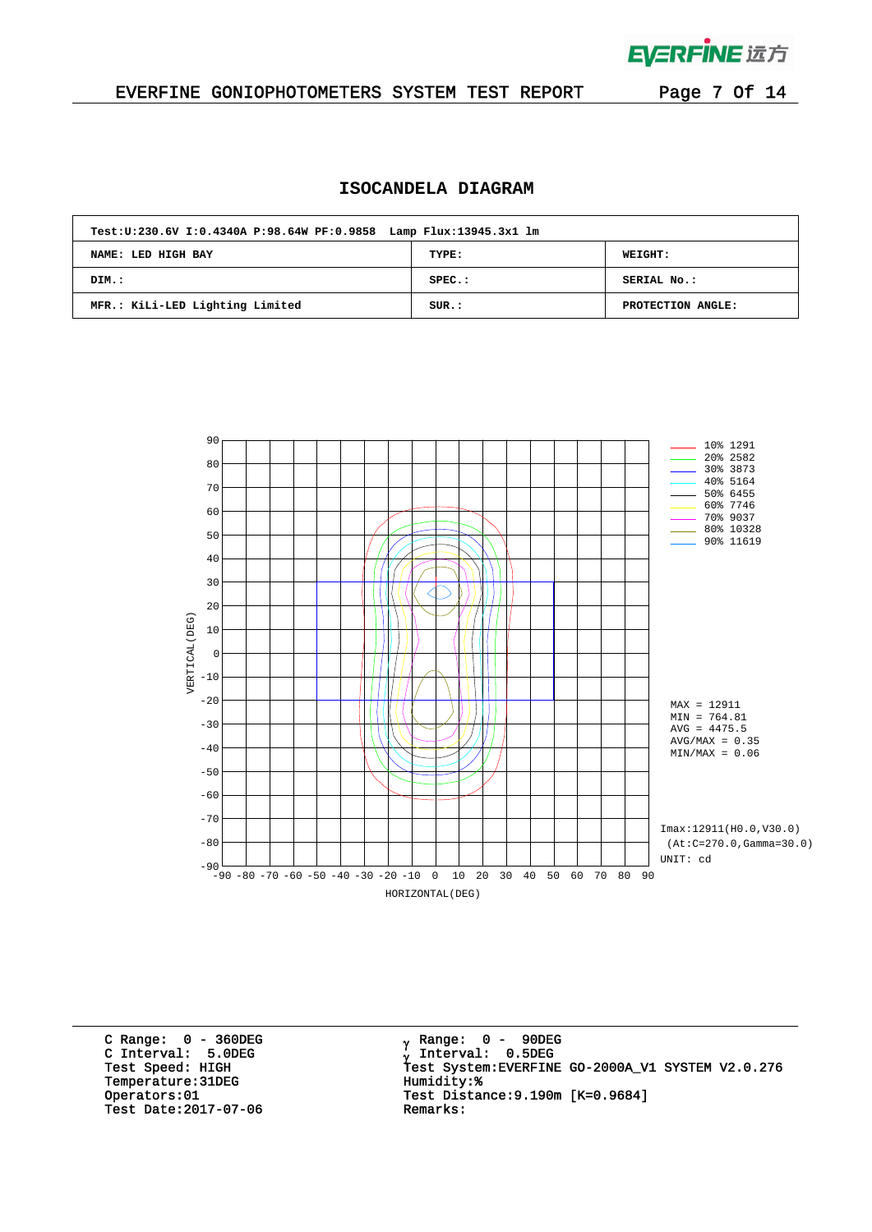

### EVERFINE GONIOPHOTOMETERS SYSTEM TEST REPORT Page 7 Of 14

### **ISOCANDELA DIAGRAM**

| Test: U: 230.6V I: 0.4340A P: 98.64W PF: 0.9858 Lamp Flux: 13945.3x1 lm |           |                   |  |  |  |  |  |  |
|-------------------------------------------------------------------------|-----------|-------------------|--|--|--|--|--|--|
| NAME: LED HIGH BAY                                                      | TYPE:     | <b>WEIGHT:</b>    |  |  |  |  |  |  |
| DIM.:                                                                   | $SPEC.$ : | SERIAL No.:       |  |  |  |  |  |  |
| MFR.: KiLi-LED Lighting Limited                                         | SUR.:     | PROTECTION ANGLE: |  |  |  |  |  |  |



C Range: 0 - 360DEG C Interval: 5.0DEG Temperature:31DEG Humidity:%<br>Operators:01 Test Distan Test Date: 2017-07-06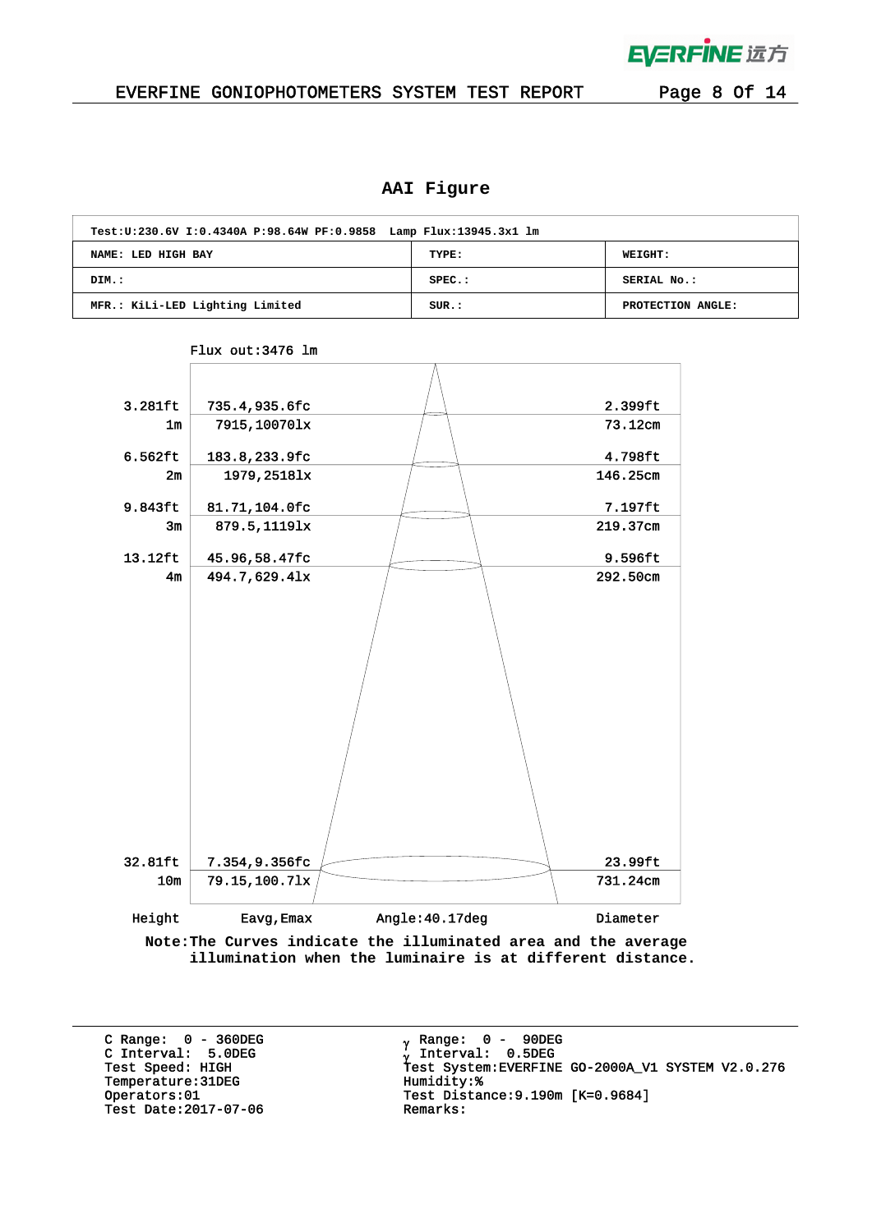# EVERFINE 远方

### EVERFINE GONIOPHOTOMETERS SYSTEM TEST REPORT Page 8 Of 14

## **AAI Figure**

| Test: U: 230.6V I: 0.4340A P: 98.64W PF: 0.9858 Lamp Flux: 13945.3x1 lm |           |                   |  |  |  |  |  |  |  |
|-------------------------------------------------------------------------|-----------|-------------------|--|--|--|--|--|--|--|
| TYPE:<br><b>WEIGHT:</b><br>NAME: LED HIGH BAY                           |           |                   |  |  |  |  |  |  |  |
| DIM.:                                                                   | $SPEC.$ : | SERIAL No.:       |  |  |  |  |  |  |  |
| MFR.: KiLi-LED Lighting Limited                                         | SUR.:     | PROTECTION ANGLE: |  |  |  |  |  |  |  |



### Flux out:3476 lm

**Note:The Curves indicate the illuminated area and the average illumination when the luminaire is at different distance.**

C Range: 0 - 360DEG C Interval: 5.0DEG Temperature:31DEG Humidity:\*<br>Operators:01 Test Distant Test Date: 2017-07-06

<sub>γ</sub> Range: 0 - 90DEG Interval: 0.5DEG <sup>γ</sup> Test Speed: HIGH Test System:EVERFINE GO-2000A\_V1 SYSTEM V2.0.276 Test Distance:9.190m [K=0.9684]<br>Remarks: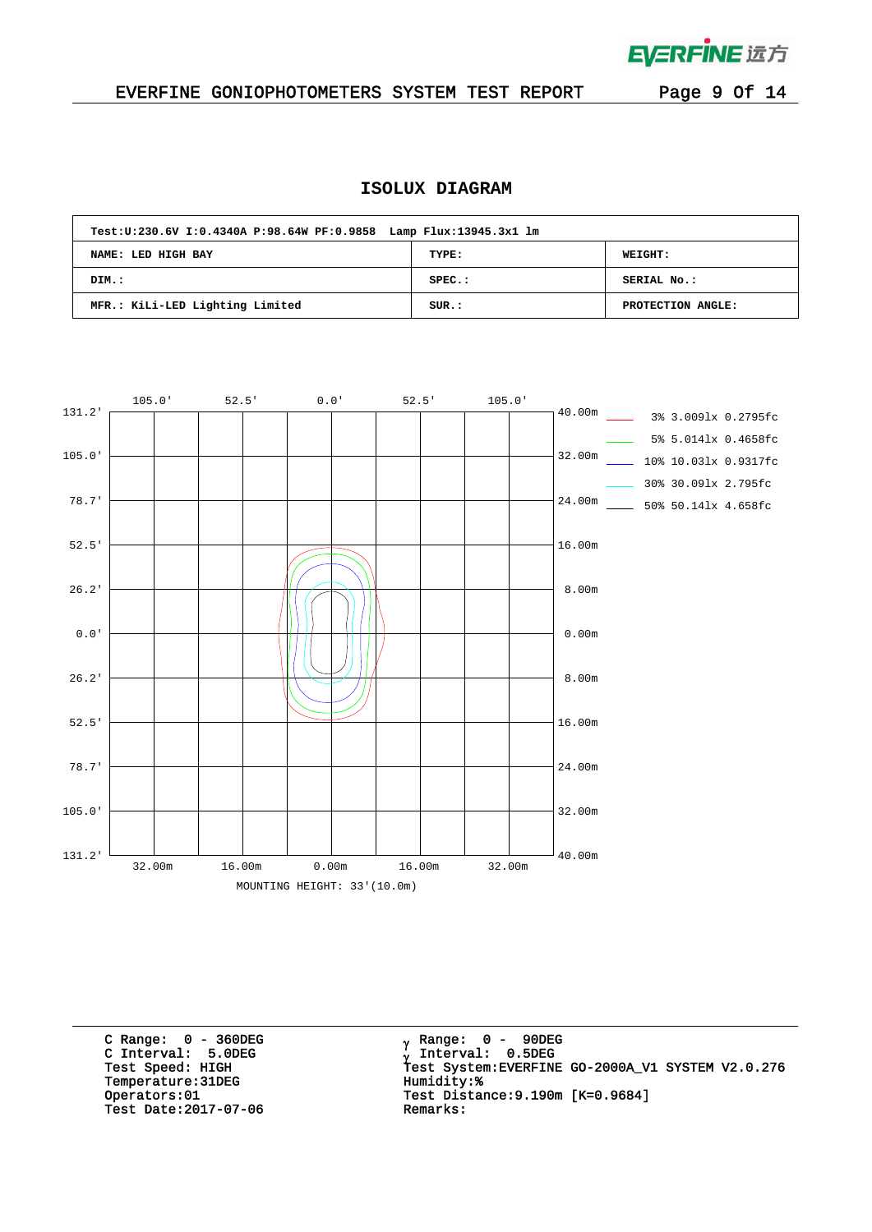

 $\bar{\mathcal{A}}$ 

### EVERFINE GONIOPHOTOMETERS SYSTEM TEST REPORT Page 9 Of 14

## **ISOLUX DIAGRAM**

| Test: U: 230.6V I: 0.4340A P: 98.64W PF: 0.9858 Lamp Flux: 13945.3x1 lm |           |                   |  |  |  |  |  |  |  |  |  |
|-------------------------------------------------------------------------|-----------|-------------------|--|--|--|--|--|--|--|--|--|
| NAME: LED HIGH BAY                                                      | TYPE:     | <b>WEIGHT:</b>    |  |  |  |  |  |  |  |  |  |
| DIM.:                                                                   | $SPEC.$ : | SERIAL No.:       |  |  |  |  |  |  |  |  |  |
| MFR.: KiLi-LED Lighting Limited                                         | SUR.:     | PROTECTION ANGLE: |  |  |  |  |  |  |  |  |  |



C Range: 0 - 360DEG C Interval: 5.0DEG Temperature:31DEG Humidity:%<br>Operators:01 Test Distan Test Date: 2017-07-06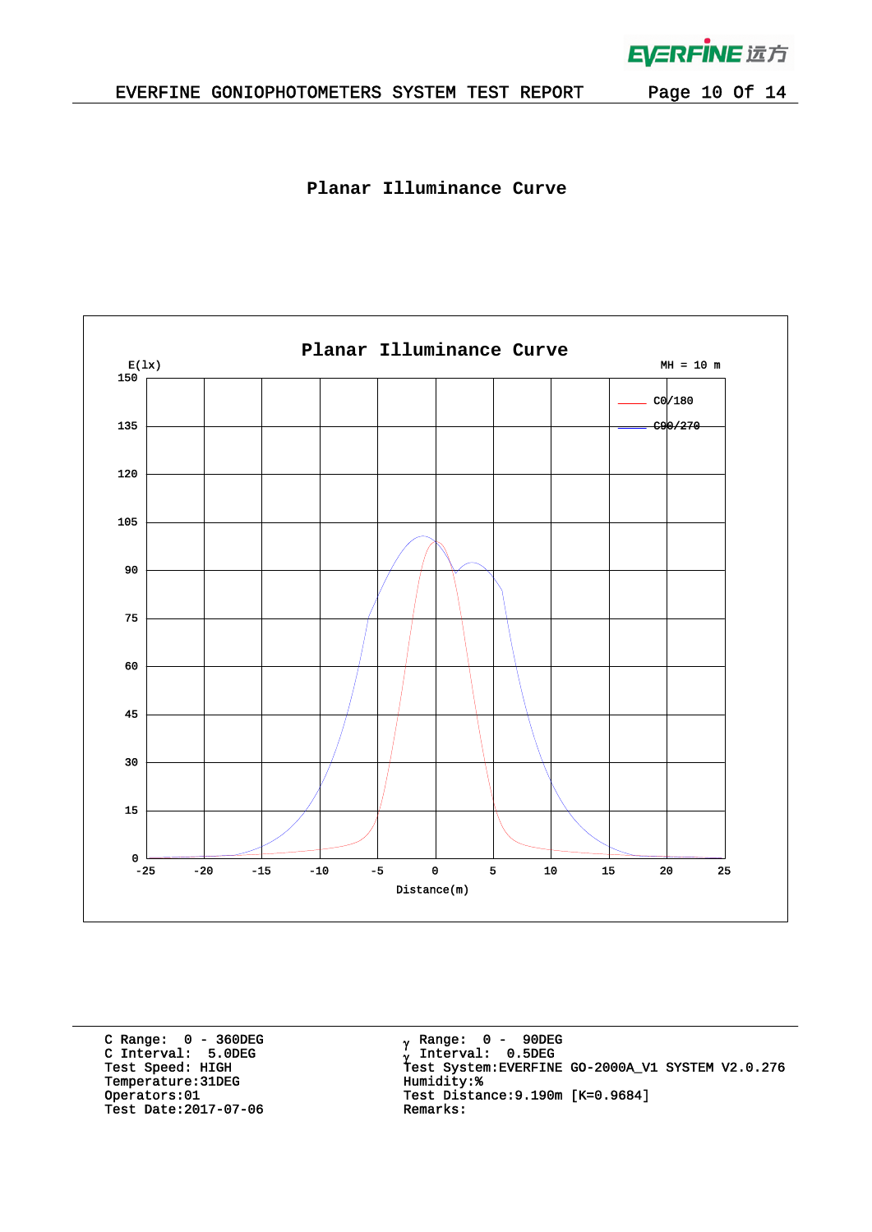

 $\mathbb{R}^2$ 

**Planar Illuminance Curve**



C Range: 0 - 360DEG C Interval: 5.0DEG Temperature:31DEG Humidity: \*<br>Operators:01 Test Distan Test Date: 2017-07-06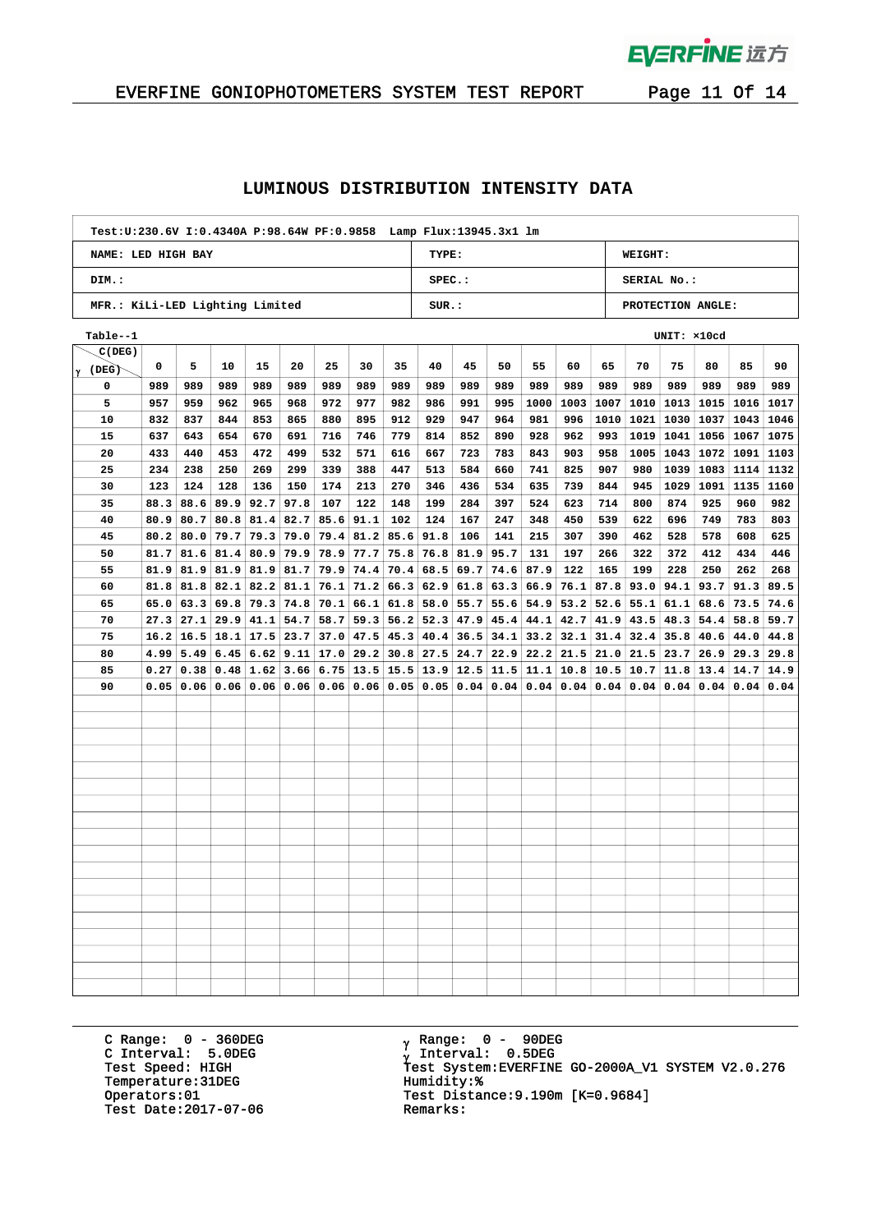

# EVERFINE GONIOPHOTOMETERS SYSTEM TEST REPORT Page 11 Of 14

### **LUMINOUS DISTRIBUTION INTENSITY DATA**

| Test: U: 230.6V I: 0.4340A P: 98.64W PF: 0.9858 Lamp Flux: 13945.3x1 lm |           |                   |  |  |  |  |  |  |  |  |  |  |
|-------------------------------------------------------------------------|-----------|-------------------|--|--|--|--|--|--|--|--|--|--|
| NAME: LED HIGH BAY                                                      | TYPE:     | <b>WEIGHT:</b>    |  |  |  |  |  |  |  |  |  |  |
| DIM.:                                                                   | $SPEC.$ : | SERIAL No.:       |  |  |  |  |  |  |  |  |  |  |
| MFR.: KiLi-LED Lighting Limited                                         | SUR.:     | PROTECTION ANGLE: |  |  |  |  |  |  |  |  |  |  |

| Table--1       | UNIT: x10cd |      |      |      |                             |                                            |                             |      |                      |             |      |      |      |      |             |      |      |      |      |
|----------------|-------------|------|------|------|-----------------------------|--------------------------------------------|-----------------------------|------|----------------------|-------------|------|------|------|------|-------------|------|------|------|------|
| C(DEG)         |             |      |      |      |                             |                                            |                             |      |                      |             |      |      |      |      |             |      |      |      |      |
| $\gamma$ (DEG) | 0           | 5    | 10   | 15   | 20                          | 25                                         | 30                          | 35   | 40                   | 45          | 50   | 55   | 60   | 65   | 70          | 75   | 80   | 85   | 90   |
| 0              | 989         | 989  | 989  | 989  | 989                         | 989                                        | 989                         | 989  | 989                  | 989         | 989  | 989  | 989  | 989  | 989         | 989  | 989  | 989  | 989  |
| 5              | 957         | 959  | 962  | 965  | 968                         | 972                                        | 977                         | 982  | 986                  | 991         | 995  | 1000 | 1003 | 1007 | 1010        | 1013 | 1015 | 1016 | 1017 |
| 10             | 832         | 837  | 844  | 853  | 865                         | 880                                        | 895                         | 912  | 929                  | 947         | 964  | 981  | 996  | 1010 | 1021        | 1030 | 1037 | 1043 | 1046 |
| 15             | 637         | 643  | 654  | 670  | 691                         | 716                                        | 746                         | 779  | 814                  | 852         | 890  | 928  | 962  | 993  | 1019        | 1041 | 1056 | 1067 | 1075 |
| 20             | 433         | 440  | 453  | 472  | 499                         | 532                                        | 571                         | 616  | 667                  | 723         | 783  | 843  | 903  | 958  | 1005        | 1043 | 1072 | 1091 | 1103 |
| 25             | 234         | 238  | 250  | 269  | 299                         | 339                                        | 388                         | 447  | 513                  | 584         | 660  | 741  | 825  | 907  | 980         | 1039 | 1083 | 1114 | 1132 |
| 30             | 123         | 124  | 128  | 136  | 150                         | 174                                        | 213                         | 270  | 346                  | 436         | 534  | 635  | 739  | 844  | 945         | 1029 | 1091 | 1135 | 1160 |
| 35             | 88.3        | 88.6 | 89.9 | 92.7 | 97.8                        | 107                                        | 122                         | 148  | 199                  | 284         | 397  | 524  | 623  | 714  | 800         | 874  | 925  | 960  | 982  |
| 40             | 80.9        | 80.7 |      |      | $80.8$   81.4   82.7        | 85.6                                       | 91.1                        | 102  | 124                  | 167         | 247  | 348  | 450  | 539  | 622         | 696  | 749  | 783  | 803  |
| 45             | 80.2        | 80.0 | 79.7 |      | $79.3$   $79.0$             | 79.4                                       | 81.2                        | 85.6 | 91.8                 | 106         | 141  | 215  | 307  | 390  | 462         | 528  | 578  | 608  | 625  |
| 50             | 81.7        | 81.6 | 81.4 |      | $80.9$ 79.9 78.9            |                                            | 77.7                        | 75.8 | 76.8                 | 81.9        | 95.7 | 131  | 197  | 266  | 322         | 372  | 412  | 434  | 446  |
| 55             | 81.9        | 81.9 |      |      |                             | $81.9$   $81.9$   $81.7$   $79.9$   $74.4$ |                             | 70.4 |                      | 68.5 69.7   | 74.6 | 87.9 | 122  | 165  | 199         | 228  | 250  | 262  | 268  |
| 60             | 81.8        | 81.8 |      |      | $82.1$ $82.2$ $81.1$ 76.1   |                                            | 71.2                        | 66.3 |                      | 62.9 61.8   | 63.3 | 66.9 | 76.1 |      | 87.8 93.0   | 94.1 | 93.7 | 91.3 | 89.5 |
| 65             | 65.0        | 63.3 |      |      | $69.8$ 79.3 74.8            | 70.1                                       | 66.1                        | 61.8 | 58.0                 | 55.7        | 55.6 | 54.9 | 53.2 |      | $52.6$ 55.1 | 61.1 | 68.6 | 73.5 | 74.6 |
| 70             | 27.3        | 27.1 | 29.9 |      | $41.1$ 54.7                 | 58.7                                       | 59.3                        | 56.2 | $52.3$ 47.9          |             | 45.4 | 44.1 | 42.7 | 41.9 | 43.5        | 48.3 | 54.4 | 58.8 | 59.7 |
| 75             | 16.2        | 16.5 |      |      | $18.1$   17.5   23.7        | 37.0                                       | 47.5                        | 45.3 |                      | $40.4$ 36.5 | 34.1 | 33.2 | 32.1 |      | $31.4$ 32.4 | 35.8 | 40.6 | 44.0 | 44.8 |
| 80             | 4.99        | 5.49 |      |      |                             | $6.45$ 6.62 9.11 17.0                      | 29.2                        |      | $30.8$   27.5   24.7 |             | 22.9 | 22.2 | 21.5 |      | $21.0$ 21.5 | 23.7 | 26.9 | 29.3 | 29.8 |
| 85             | 0.27        | 0.38 |      |      | $0.48$   1.62   3.66   6.75 |                                            | $13.5$ $15.5$ $13.9$ $12.5$ |      |                      |             | 11.5 | 11.1 | 10.8 |      | $10.5$ 10.7 | 11.8 | 13.4 | 14.7 | 14.9 |
| 90             | 0.05        | 0.06 |      |      | 0.06   0.06   0.06          | 0.06                                       | 0.06                        | 0.05 |                      | 0.05 0.04   | 0.04 | 0.04 | 0.04 |      | 0.04   0.04 | 0.04 | 0.04 | 0.04 | 0.04 |
|                |             |      |      |      |                             |                                            |                             |      |                      |             |      |      |      |      |             |      |      |      |      |
|                |             |      |      |      |                             |                                            |                             |      |                      |             |      |      |      |      |             |      |      |      |      |
|                |             |      |      |      |                             |                                            |                             |      |                      |             |      |      |      |      |             |      |      |      |      |
|                |             |      |      |      |                             |                                            |                             |      |                      |             |      |      |      |      |             |      |      |      |      |
|                |             |      |      |      |                             |                                            |                             |      |                      |             |      |      |      |      |             |      |      |      |      |
|                |             |      |      |      |                             |                                            |                             |      |                      |             |      |      |      |      |             |      |      |      |      |
|                |             |      |      |      |                             |                                            |                             |      |                      |             |      |      |      |      |             |      |      |      |      |
|                |             |      |      |      |                             |                                            |                             |      |                      |             |      |      |      |      |             |      |      |      |      |
|                |             |      |      |      |                             |                                            |                             |      |                      |             |      |      |      |      |             |      |      |      |      |
|                |             |      |      |      |                             |                                            |                             |      |                      |             |      |      |      |      |             |      |      |      |      |
|                |             |      |      |      |                             |                                            |                             |      |                      |             |      |      |      |      |             |      |      |      |      |
|                |             |      |      |      |                             |                                            |                             |      |                      |             |      |      |      |      |             |      |      |      |      |
|                |             |      |      |      |                             |                                            |                             |      |                      |             |      |      |      |      |             |      |      |      |      |
|                |             |      |      |      |                             |                                            |                             |      |                      |             |      |      |      |      |             |      |      |      |      |
|                |             |      |      |      |                             |                                            |                             |      |                      |             |      |      |      |      |             |      |      |      |      |
|                |             |      |      |      |                             |                                            |                             |      |                      |             |      |      |      |      |             |      |      |      |      |
|                |             |      |      |      |                             |                                            |                             |      |                      |             |      |      |      |      |             |      |      |      |      |
|                |             |      |      |      |                             |                                            |                             |      |                      |             |      |      |      |      |             |      |      |      |      |

C Range: 0 - 360DEG C Interval: 5.0DEG Temperature:31DEG Humidity: \*<br>Operators:01 Test Distan Test Date: 2017-07-06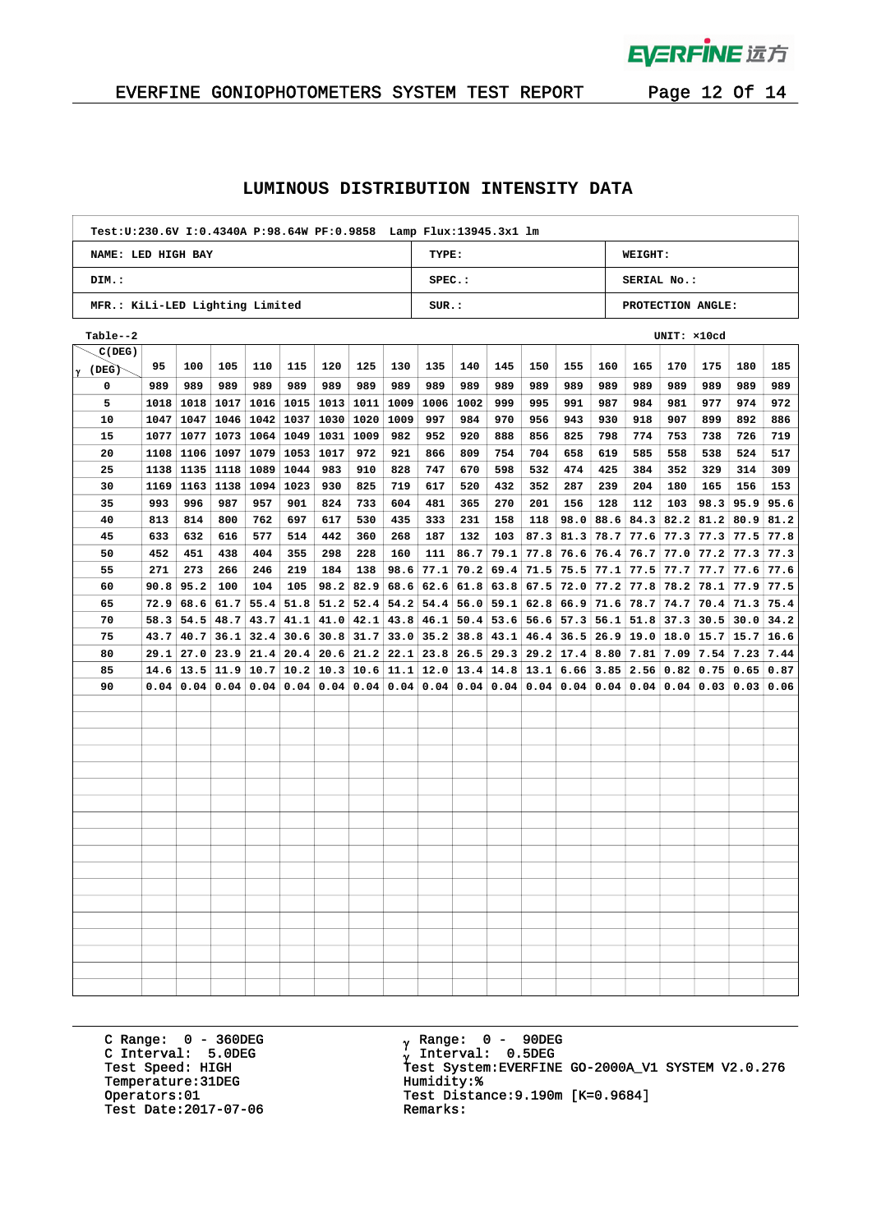

# EVERFINE GONIOPHOTOMETERS SYSTEM TEST REPORT Page 12 Of 14

### **LUMINOUS DISTRIBUTION INTENSITY DATA**

| Test: U: 230.6V I: 0.4340A P: 98.64W PF: 0.9858 Lamp Flux: 13945.3x1 lm |           |                   |  |  |  |  |  |  |  |  |  |  |
|-------------------------------------------------------------------------|-----------|-------------------|--|--|--|--|--|--|--|--|--|--|
| NAME: LED HIGH BAY                                                      | TYPE:     | <b>WEIGHT:</b>    |  |  |  |  |  |  |  |  |  |  |
| DIM.:                                                                   | $SPEC.$ : | SERIAL No.:       |  |  |  |  |  |  |  |  |  |  |
| MFR.: KiLi-LED Lighting Limited                                         | SUR.:     | PROTECTION ANGLE: |  |  |  |  |  |  |  |  |  |  |

| Table--2<br>UNIT: x10cd |      |      |      |           |                           |                      |      |      |                          |             |      |      |             |             |                  |      |      |      |      |
|-------------------------|------|------|------|-----------|---------------------------|----------------------|------|------|--------------------------|-------------|------|------|-------------|-------------|------------------|------|------|------|------|
| C(DEG)                  |      |      |      |           |                           |                      |      |      |                          |             |      |      |             |             |                  |      |      |      |      |
| $\gamma$ (DEG)          | 95   | 100  | 105  | 110       | 115                       | 120                  | 125  | 130  | 135                      | 140         | 145  | 150  | 155         | 160         | 165              | 170  | 175  | 180  | 185  |
| 0                       | 989  | 989  | 989  | 989       | 989                       | 989                  | 989  | 989  | 989                      | 989         | 989  | 989  | 989         | 989         | 989              | 989  | 989  | 989  | 989  |
| 5                       | 1018 | 1018 | 1017 |           | $1016$   1015   1013      |                      | 1011 | 1009 | 1006                     | 1002        | 999  | 995  | 991         | 987         | 984              | 981  | 977  | 974  | 972  |
| 10                      | 1047 | 1047 | 1046 |           | $1042$   1037   1030      |                      | 1020 | 1009 | 997                      | 984         | 970  | 956  | 943         | 930         | 918              | 907  | 899  | 892  | 886  |
| 15                      | 1077 | 1077 |      |           | 1073   1064   1049   1031 |                      | 1009 | 982  | 952                      | 920         | 888  | 856  | 825         | 798         | 774              | 753  | 738  | 726  | 719  |
| 20                      | 1108 | 1106 | 1097 |           | 1079 1053                 | 1017                 | 972  | 921  | 866                      | 809         | 754  | 704  | 658         | 619         | 585              | 558  | 538  | 524  | 517  |
| 25                      | 1138 | 1135 | 1118 | 1089      | 1044                      | 983                  | 910  | 828  | 747                      | 670         | 598  | 532  | 474         | 425         | 384              | 352  | 329  | 314  | 309  |
| 30                      | 1169 | 1163 | 1138 | 1094 1023 |                           | 930                  | 825  | 719  | 617                      | 520         | 432  | 352  | 287         | 239         | 204              | 180  | 165  | 156  | 153  |
| 35                      | 993  | 996  | 987  | 957       | 901                       | 824                  | 733  | 604  | 481                      | 365         | 270  | 201  | 156         | 128         | 112              | 103  | 98.3 | 95.9 | 95.6 |
| 40                      | 813  | 814  | 800  | 762       | 697                       | 617                  | 530  | 435  | 333                      | 231         | 158  | 118  | 98.0        | 88.6 84.3   |                  | 82.2 | 81.2 | 80.9 | 81.2 |
| 45                      | 633  | 632  | 616  | 577       | 514                       | 442                  | 360  | 268  | 187                      | 132         | 103  | 87.3 | 81.3        |             | $78.7$ 77.6      | 77.3 | 77.3 | 77.5 | 77.8 |
| 50                      | 452  | 451  | 438  | 404       | 355                       | 298                  | 228  | 160  | 111                      | 86.7        | 79.1 | 77.8 | 76.6        |             | $76.4$ 76.7      | 77.0 | 77.2 | 77.3 | 77.3 |
| 55                      | 271  | 273  | 266  | 246       | 219                       | 184                  | 138  | 98.6 | 77.1                     | 70.2        | 69.4 | 71.5 | 75.5        |             | $77.1$ 77.5      | 77.7 | 77.7 | 77.6 | 77.6 |
| 60                      | 90.8 | 95.2 | 100  | 104       | 105                       | 98.2                 | 82.9 | 68.6 |                          | $62.6$ 61.8 | 63.8 | 67.5 | 72.0        | $77.2$ 77.8 |                  | 78.2 | 78.1 | 77.9 | 77.5 |
| 65                      | 72.9 | 68.6 | 61.7 |           | $55.4$   $51.8$           | 51.2                 | 52.4 | 54.2 | 54.4                     | 56.0        | 59.1 | 62.8 | 66.9        |             | $71.6$ 78.7      | 74.7 | 70.4 | 71.3 | 75.4 |
| 70                      | 58.3 | 54.5 | 48.7 |           | $43.7 \mid 41.1$          | 41.0                 | 42.1 | 43.8 | 46.1                     | 50.4        | 53.6 | 56.6 | 57.3        |             | $56.1$ 51.8      | 37.3 | 30.5 | 30.0 | 34.2 |
| 75                      | 43.7 | 40.7 | 36.1 |           | $32.4$   30.6             | 30.8                 | 31.7 | 33.0 | $35.2$ 38.8              |             | 43.1 | 46.4 | 36.5        |             | $26.9$ 19.0      | 18.0 | 15.7 | 15.7 | 16.6 |
| 80                      | 29.1 | 27.0 | 23.9 |           |                           | $21.4$   20.4   20.6 | 21.2 | 22.1 |                          | $23.8$ 26.5 | 29.3 |      | $29.2$ 17.4 | $8.80$ 7.81 |                  | 7.09 | 7.54 | 7.23 | 7.44 |
| 85                      | 14.6 | 13.5 | 11.9 |           | $10.7$   10.2   10.3      |                      |      |      | $10.6$ 11.1 12.0 13.4    |             | 14.8 | 13.1 | 6.66        |             | $3.85$ 2.56      | 0.82 | 0.75 | 0.65 | 0.87 |
| 90                      | 0.04 | 0.04 | 0.04 |           | 0.04   0.04               | 0.04                 | 0.04 |      | $0.04$   $0.04$   $0.04$ |             | 0.04 | 0.04 | 0.04        |             | $0.04 \mid 0.04$ | 0.04 | 0.03 | 0.03 | 0.06 |
|                         |      |      |      |           |                           |                      |      |      |                          |             |      |      |             |             |                  |      |      |      |      |
|                         |      |      |      |           |                           |                      |      |      |                          |             |      |      |             |             |                  |      |      |      |      |
|                         |      |      |      |           |                           |                      |      |      |                          |             |      |      |             |             |                  |      |      |      |      |
|                         |      |      |      |           |                           |                      |      |      |                          |             |      |      |             |             |                  |      |      |      |      |
|                         |      |      |      |           |                           |                      |      |      |                          |             |      |      |             |             |                  |      |      |      |      |
|                         |      |      |      |           |                           |                      |      |      |                          |             |      |      |             |             |                  |      |      |      |      |
|                         |      |      |      |           |                           |                      |      |      |                          |             |      |      |             |             |                  |      |      |      |      |
|                         |      |      |      |           |                           |                      |      |      |                          |             |      |      |             |             |                  |      |      |      |      |
|                         |      |      |      |           |                           |                      |      |      |                          |             |      |      |             |             |                  |      |      |      |      |
|                         |      |      |      |           |                           |                      |      |      |                          |             |      |      |             |             |                  |      |      |      |      |
|                         |      |      |      |           |                           |                      |      |      |                          |             |      |      |             |             |                  |      |      |      |      |
|                         |      |      |      |           |                           |                      |      |      |                          |             |      |      |             |             |                  |      |      |      |      |
|                         |      |      |      |           |                           |                      |      |      |                          |             |      |      |             |             |                  |      |      |      |      |
|                         |      |      |      |           |                           |                      |      |      |                          |             |      |      |             |             |                  |      |      |      |      |
|                         |      |      |      |           |                           |                      |      |      |                          |             |      |      |             |             |                  |      |      |      |      |
|                         |      |      |      |           |                           |                      |      |      |                          |             |      |      |             |             |                  |      |      |      |      |
|                         |      |      |      |           |                           |                      |      |      |                          |             |      |      |             |             |                  |      |      |      |      |
|                         |      |      |      |           |                           |                      |      |      |                          |             |      |      |             |             |                  |      |      |      |      |

C Range: 0 - 360DEG C Interval: 5.0DEG Temperature:31DEG Humidity: \*<br>Operators:01 Test Distan Test Date: 2017-07-06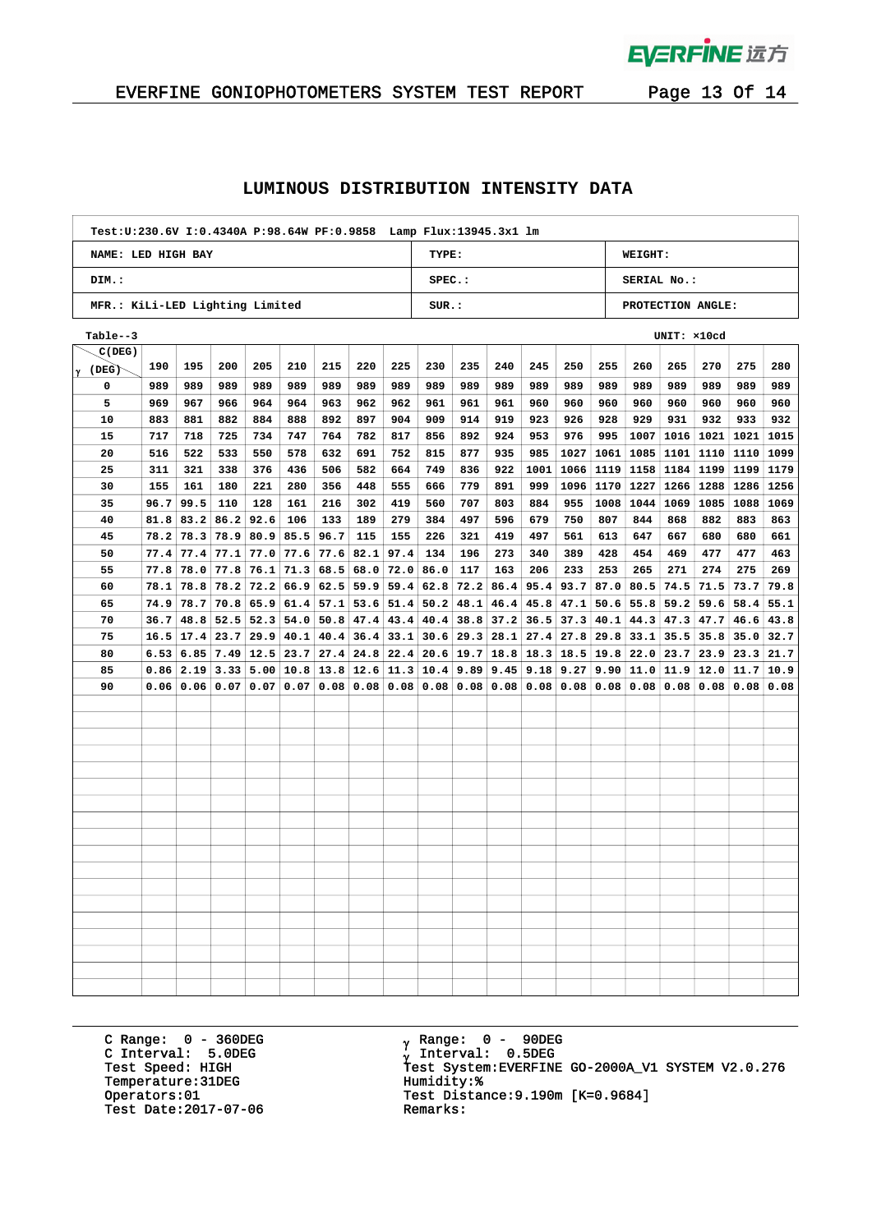

# EVERFINE GONIOPHOTOMETERS SYSTEM TEST REPORT Page 13 Of 14

### **LUMINOUS DISTRIBUTION INTENSITY DATA**

| Test: U: 230.6V I: 0.4340A P: 98.64W PF: 0.9858 Lamp Flux: 13945.3x1 lm |           |                   |  |  |  |  |  |  |  |  |  |  |
|-------------------------------------------------------------------------|-----------|-------------------|--|--|--|--|--|--|--|--|--|--|
| NAME: LED HIGH BAY                                                      | TYPE:     | <b>WEIGHT:</b>    |  |  |  |  |  |  |  |  |  |  |
| DIM.:                                                                   | $SPEC.$ : | SERIAL No.:       |  |  |  |  |  |  |  |  |  |  |
| MFR.: KiLi-LED Lighting Limited                                         | SUR.:     | PROTECTION ANGLE: |  |  |  |  |  |  |  |  |  |  |

| Table--3       | UNIT: x10cd |               |      |                                      |             |      |      |      |                             |             |      |      |             |           |              |      |      |      |      |
|----------------|-------------|---------------|------|--------------------------------------|-------------|------|------|------|-----------------------------|-------------|------|------|-------------|-----------|--------------|------|------|------|------|
| C(DEG)         |             |               |      |                                      |             |      |      |      |                             |             |      |      |             |           |              |      |      |      |      |
| $\gamma$ (DEG) | 190         | 195           | 200  | 205                                  | 210         | 215  | 220  | 225  | 230                         | 235         | 240  | 245  | 250         | 255       | 260          | 265  | 270  | 275  | 280  |
| 0              | 989         | 989           | 989  | 989                                  | 989         | 989  | 989  | 989  | 989                         | 989         | 989  | 989  | 989         | 989       | 989          | 989  | 989  | 989  | 989  |
| 5              | 969         | 967           | 966  | 964                                  | 964         | 963  | 962  | 962  | 961                         | 961         | 961  | 960  | 960         | 960       | 960          | 960  | 960  | 960  | 960  |
| 10             | 883         | 881           | 882  | 884                                  | 888         | 892  | 897  | 904  | 909                         | 914         | 919  | 923  | 926         | 928       | 929          | 931  | 932  | 933  | 932  |
| 15             | 717         | 718           | 725  | 734                                  | 747         | 764  | 782  | 817  | 856                         | 892         | 924  | 953  | 976         | 995       | 1007         | 1016 | 1021 | 1021 | 1015 |
| 20             | 516         | 522           | 533  | 550                                  | 578         | 632  | 691  | 752  | 815                         | 877         | 935  | 985  | 1027        | 1061      | 1085         | 1101 | 1110 | 1110 | 1099 |
| 25             | 311         | 321           | 338  | 376                                  | 436         | 506  | 582  | 664  | 749                         | 836         | 922  | 1001 | 1066        | 1119 1158 |              | 1184 | 1199 | 1199 | 1179 |
| 30             | 155         | 161           | 180  | 221                                  | 280         | 356  | 448  | 555  | 666                         | 779         | 891  | 999  | 1096        | 1170 1227 |              | 1266 | 1288 | 1286 | 1256 |
| 35             | 96.7        | 99.5          | 110  | 128                                  | 161         | 216  | 302  | 419  | 560                         | 707         | 803  | 884  | 955         | 1008      | 1044         | 1069 | 1085 | 1088 | 1069 |
| 40             | 81.8        | 83.2          |      | $86.2$ 92.6                          | 106         | 133  | 189  | 279  | 384                         | 497         | 596  | 679  | 750         | 807       | 844          | 868  | 882  | 883  | 863  |
| 45             | 78.2        | 78.3          |      | $78.9$ 80.9 85.5 96.7                |             |      | 115  | 155  | 226                         | 321         | 419  | 497  | 561         | 613       | 647          | 667  | 680  | 680  | 661  |
| 50             |             | $77.4$ 77.4   |      | $77.1$ 77.0 77.6 77.6                |             |      | 82.1 | 97.4 | 134                         | 196         | 273  | 340  | 389         | 428       | 454          | 469  | 477  | 477  | 463  |
| 55             | 77.8        | 78.0          |      | $77.8$ 76.1 71.3 68.5                |             |      | 68.0 | 72.0 | 86.0                        | 117         | 163  | 206  | 233         | 253       | 265          | 271  | 274  | 275  | 269  |
| 60             | 78.1        | 78.8          |      | $78.2$ 72.2 66.9 62.5                |             |      | 59.9 | 59.4 | 62.8                        | 72.2        | 86.4 | 95.4 | 93.7        |           | $87.0$ 80.5  | 74.5 | 71.5 | 73.7 | 79.8 |
| 65             | 74.9        | 78.7          |      | $70.8$ 65.9 61.4 57.1                |             |      | 53.6 | 51.4 | 50.2                        | 48.1        | 46.4 | 45.8 | 47.1        |           | $50.6$ 55.8  | 59.2 | 59.6 | 58.4 | 55.1 |
| 70             | 36.7        | 48.8          |      | $52.5$   52.3   54.0                 |             | 50.8 | 47.4 | 43.4 | $40.4$ 38.8                 |             | 37.2 | 36.5 | 37.3        |           | $40.1$ 44.3  | 47.3 | 47.7 | 46.6 | 43.8 |
| 75             |             | $16.5$   17.4 | 23.7 |                                      | 29.9   40.1 | 40.4 | 36.4 | 33.1 |                             | $30.6$ 29.3 | 28.1 | 27.4 | 27.8        |           | $29.8$ 33.1  | 35.5 | 35.8 | 35.0 | 32.7 |
| 80             | 6.53        | 6.85          |      | $7.49$   12.5   23.7                 |             | 27.4 | 24.8 | 22.4 |                             | $20.6$ 19.7 | 18.8 |      | 18.3   18.5 |           | $19.8$ 22.0  | 23.7 | 23.9 | 23.3 | 21.7 |
| 85             | 0.86        | 2.19          |      | $3.33 \mid 5.00 \mid 10.8 \mid 13.8$ |             |      |      |      | $12.6$   11.3   10.4   9.89 |             | 9.45 | 9.18 | 9.27        |           | $9.90$  11.0 | 11.9 | 12.0 | 11.7 | 10.9 |
| 90             | 0.06        | 0.06          | 0.07 |                                      | 0.07 0.07   | 0.08 | 0.08 | 0.08 |                             | 0.08 0.08   | 0.08 | 0.08 | 0.08        |           | $0.08$ 0.08  | 0.08 | 0.08 | 0.08 | 0.08 |
|                |             |               |      |                                      |             |      |      |      |                             |             |      |      |             |           |              |      |      |      |      |
|                |             |               |      |                                      |             |      |      |      |                             |             |      |      |             |           |              |      |      |      |      |
|                |             |               |      |                                      |             |      |      |      |                             |             |      |      |             |           |              |      |      |      |      |
|                |             |               |      |                                      |             |      |      |      |                             |             |      |      |             |           |              |      |      |      |      |
|                |             |               |      |                                      |             |      |      |      |                             |             |      |      |             |           |              |      |      |      |      |
|                |             |               |      |                                      |             |      |      |      |                             |             |      |      |             |           |              |      |      |      |      |
|                |             |               |      |                                      |             |      |      |      |                             |             |      |      |             |           |              |      |      |      |      |
|                |             |               |      |                                      |             |      |      |      |                             |             |      |      |             |           |              |      |      |      |      |
|                |             |               |      |                                      |             |      |      |      |                             |             |      |      |             |           |              |      |      |      |      |
|                |             |               |      |                                      |             |      |      |      |                             |             |      |      |             |           |              |      |      |      |      |
|                |             |               |      |                                      |             |      |      |      |                             |             |      |      |             |           |              |      |      |      |      |
|                |             |               |      |                                      |             |      |      |      |                             |             |      |      |             |           |              |      |      |      |      |
|                |             |               |      |                                      |             |      |      |      |                             |             |      |      |             |           |              |      |      |      |      |
|                |             |               |      |                                      |             |      |      |      |                             |             |      |      |             |           |              |      |      |      |      |
|                |             |               |      |                                      |             |      |      |      |                             |             |      |      |             |           |              |      |      |      |      |
|                |             |               |      |                                      |             |      |      |      |                             |             |      |      |             |           |              |      |      |      |      |
|                |             |               |      |                                      |             |      |      |      |                             |             |      |      |             |           |              |      |      |      |      |
|                |             |               |      |                                      |             |      |      |      |                             |             |      |      |             |           |              |      |      |      |      |

C Range: 0 - 360DEG C Interval: 5.0DEG Temperature:31DEG Humidity: \*<br>Operators:01 Test Distan Test Date: 2017-07-06